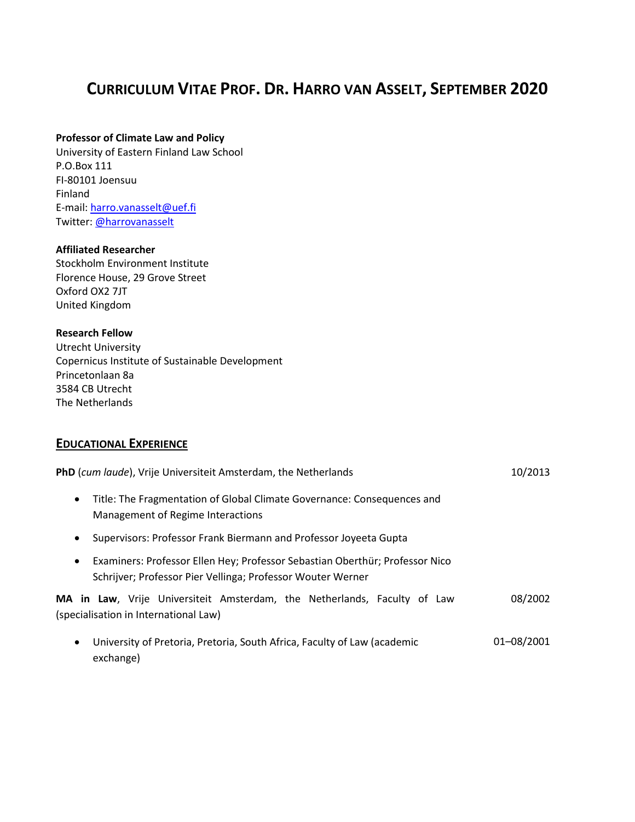# **CURRICULUM VITAE PROF. DR. HARRO VAN ASSELT, SEPTEMBER 2020**

#### **Professor of Climate Law and Policy**

University of Eastern Finland Law School P.O.Box 111 FI-80101 Joensuu Finland E-mail: [harro.vanasselt@uef.fi](mailto:harro.vanasselt@uef.fi) Twitter: [@harrovanasselt](https://twitter.com/harrovanasselt)

#### **Affiliated Researcher**

Stockholm Environment Institute Florence House, 29 Grove Street Oxford OX2 7JT United Kingdom

#### **Research Fellow**

Utrecht University Copernicus Institute of Sustainable Development Princetonlaan 8a 3584 CB Utrecht The Netherlands

### **EDUCATIONAL EXPERIENCE**

| <b>PhD</b> (cum laude), Vrije Universiteit Amsterdam, the Netherlands                                                                                    | 10/2013    |
|----------------------------------------------------------------------------------------------------------------------------------------------------------|------------|
| Title: The Fragmentation of Global Climate Governance: Consequences and<br>$\bullet$<br>Management of Regime Interactions                                |            |
| Supervisors: Professor Frank Biermann and Professor Joyeeta Gupta<br>$\bullet$                                                                           |            |
| Examiners: Professor Ellen Hey; Professor Sebastian Oberthür; Professor Nico<br>$\bullet$<br>Schrijver; Professor Pier Vellinga; Professor Wouter Werner |            |
| MA in Law, Vrije Universiteit Amsterdam, the Netherlands, Faculty of Law<br>(specialisation in International Law)                                        | 08/2002    |
| University of Pretoria, Pretoria, South Africa, Faculty of Law (academic<br>$\bullet$<br>exchange)                                                       | 01-08/2001 |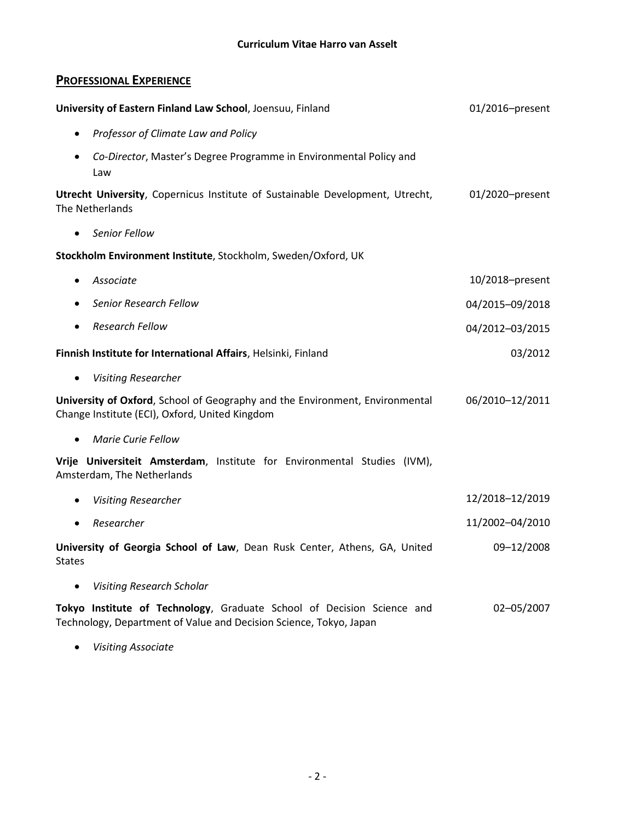# **PROFESSIONAL EXPERIENCE**

| University of Eastern Finland Law School, Joensuu, Finland                                                                                   | 01/2016-present |  |
|----------------------------------------------------------------------------------------------------------------------------------------------|-----------------|--|
| Professor of Climate Law and Policy<br>$\bullet$                                                                                             |                 |  |
| Co-Director, Master's Degree Programme in Environmental Policy and<br>Law                                                                    |                 |  |
| Utrecht University, Copernicus Institute of Sustainable Development, Utrecht,<br>The Netherlands                                             | 01/2020-present |  |
| <b>Senior Fellow</b><br>$\bullet$                                                                                                            |                 |  |
| Stockholm Environment Institute, Stockholm, Sweden/Oxford, UK                                                                                |                 |  |
| Associate<br>$\bullet$                                                                                                                       | 10/2018-present |  |
| Senior Research Fellow<br>$\bullet$                                                                                                          | 04/2015-09/2018 |  |
| <b>Research Fellow</b><br>$\bullet$                                                                                                          | 04/2012-03/2015 |  |
| Finnish Institute for International Affairs, Helsinki, Finland                                                                               | 03/2012         |  |
| <b>Visiting Researcher</b><br>$\bullet$                                                                                                      |                 |  |
| University of Oxford, School of Geography and the Environment, Environmental<br>Change Institute (ECI), Oxford, United Kingdom               | 06/2010-12/2011 |  |
| <b>Marie Curie Fellow</b><br>$\bullet$                                                                                                       |                 |  |
| Vrije Universiteit Amsterdam, Institute for Environmental Studies (IVM),<br>Amsterdam, The Netherlands                                       |                 |  |
| <b>Visiting Researcher</b>                                                                                                                   | 12/2018-12/2019 |  |
| Researcher<br>$\bullet$                                                                                                                      | 11/2002-04/2010 |  |
| University of Georgia School of Law, Dean Rusk Center, Athens, GA, United<br><b>States</b>                                                   | 09-12/2008      |  |
| <b>Visiting Research Scholar</b><br>$\bullet$                                                                                                |                 |  |
| Tokyo Institute of Technology, Graduate School of Decision Science and<br>Technology, Department of Value and Decision Science, Tokyo, Japan | 02-05/2007      |  |

• *Visiting Associate*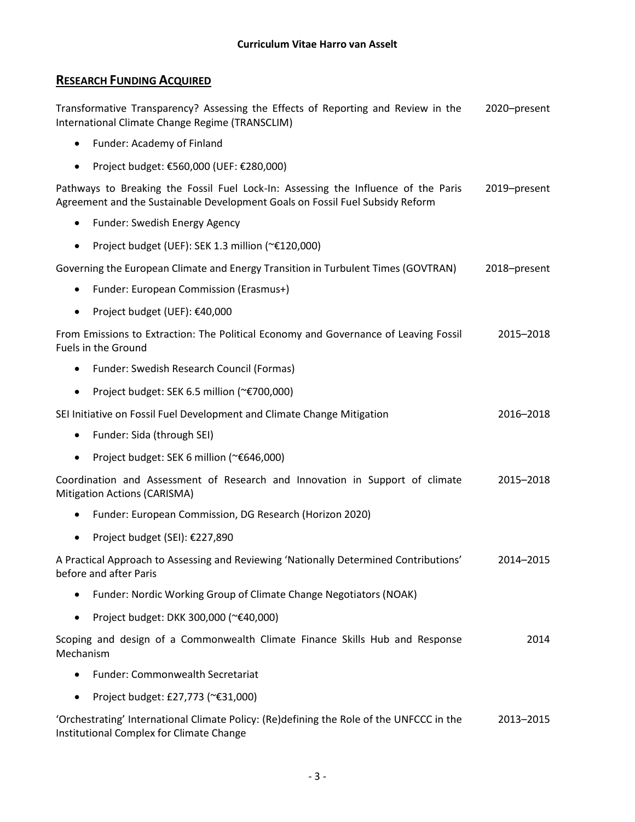# **RESEARCH FUNDING ACQUIRED**

Transformative Transparency? Assessing the Effects of Reporting and Review in the International Climate Change Regime (TRANSCLIM) 2020–present

- Funder: Academy of Finland
- Project budget: €560,000 (UEF: €280,000)

Pathways to Breaking the Fossil Fuel Lock-In: Assessing the Influence of the Paris Agreement and the Sustainable Development Goals on Fossil Fuel Subsidy Reform 2019–present

- Funder: Swedish Energy Agency
- Project budget (UEF): SEK 1.3 million (~€120,000)

Governing the European Climate and Energy Transition in Turbulent Times (GOVTRAN) 2018–present

- Funder: European Commission (Erasmus+)
- Project budget (UEF): €40,000

From Emissions to Extraction: The Political Economy and Governance of Leaving Fossil Fuels in the Ground 2015–2018

- Funder: Swedish Research Council (Formas)
- Project budget: SEK 6.5 million (~€700,000)
- SEI Initiative on Fossil Fuel Development and Climate Change Mitigation 2016–2018
	- Funder: Sida (through SEI)
	- Project budget: SEK 6 million (~€646,000)

Coordination and Assessment of Research and Innovation in Support of climate Mitigation Actions (CARISMA) 2015–2018

- Funder: European Commission, DG Research (Horizon 2020)
- Project budget (SEI): €227,890

A Practical Approach to Assessing and Reviewing 'Nationally Determined Contributions' before and after Paris 2014–2015

- Funder: Nordic Working Group of Climate Change Negotiators (NOAK)
- Project budget: DKK 300,000 (~€40,000)

Scoping and design of a Commonwealth Climate Finance Skills Hub and Response Mechanism 2014

- Funder: Commonwealth Secretariat
- Project budget: £27,773 (~€31,000)

'Orchestrating' International Climate Policy: (Re)defining the Role of the UNFCCC in the Institutional Complex for Climate Change 2013–2015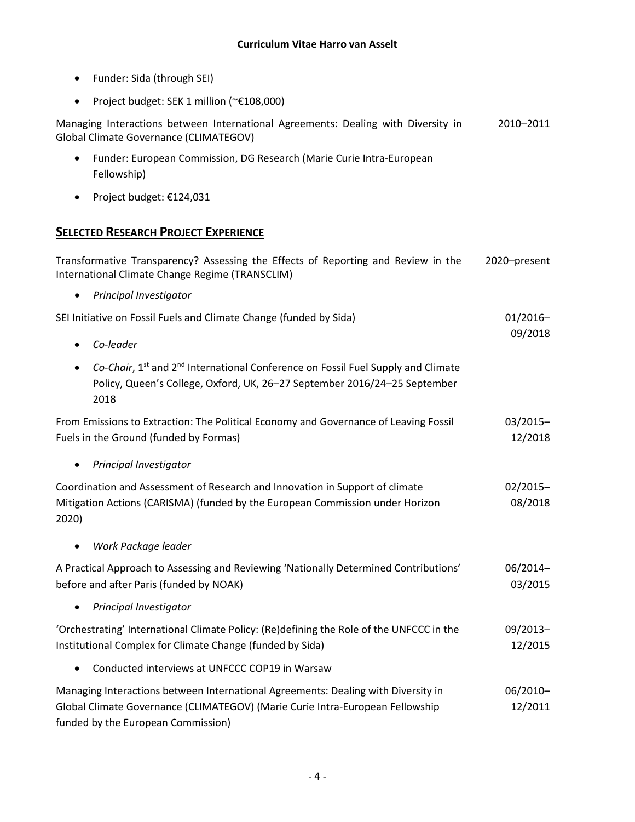- Funder: Sida (through SEI)
- Project budget: SEK 1 million (~€108,000)

Managing Interactions between International Agreements: Dealing with Diversity in Global Climate Governance (CLIMATEGOV) 2010–2011

- Funder: European Commission, DG Research (Marie Curie Intra-European Fellowship)
- Project budget: €124,031

### **SELECTED RESEARCH PROJECT EXPERIENCE**

Transformative Transparency? Assessing the Effects of Reporting and Review in the International Climate Change Regime (TRANSCLIM) 2020–present

• *Principal Investigator*

| SEI Initiative on Fossil Fuels and Climate Change (funded by Sida) | $01/2016-$ |  |
|--------------------------------------------------------------------|------------|--|
|                                                                    | 09/2018    |  |
| $\bullet$ Co-leader                                                |            |  |

• *Co-Chair*, 1<sup>st</sup> and 2<sup>nd</sup> International Conference on Fossil Fuel Supply and Climate Policy, Queen's College, Oxford, UK, 26–27 September 2016/24–25 September 2018

From Emissions to Extraction: The Political Economy and Governance of Leaving Fossil Fuels in the Ground (funded by Formas) 03/2015– 12/2018

• *Principal Investigator*

Coordination and Assessment of Research and Innovation in Support of climate Mitigation Actions (CARISMA) (funded by the European Commission under Horizon 2020) 02/2015– 08/2018

• *Work Package leader*

| A Practical Approach to Assessing and Reviewing 'Nationally Determined Contributions' | 06/2014– |
|---------------------------------------------------------------------------------------|----------|
| before and after Paris (funded by NOAK)                                               | 03/2015  |

• *Principal Investigator*

'Orchestrating' International Climate Policy: (Re)defining the Role of the UNFCCC in the Institutional Complex for Climate Change (funded by Sida) 09/2013– 12/2015

• Conducted interviews at UNFCCC COP19 in Warsaw

| Managing Interactions between International Agreements: Dealing with Diversity in | 06/2010- |
|-----------------------------------------------------------------------------------|----------|
| Global Climate Governance (CLIMATEGOV) (Marie Curie Intra-European Fellowship     | 12/2011  |
| funded by the European Commission)                                                |          |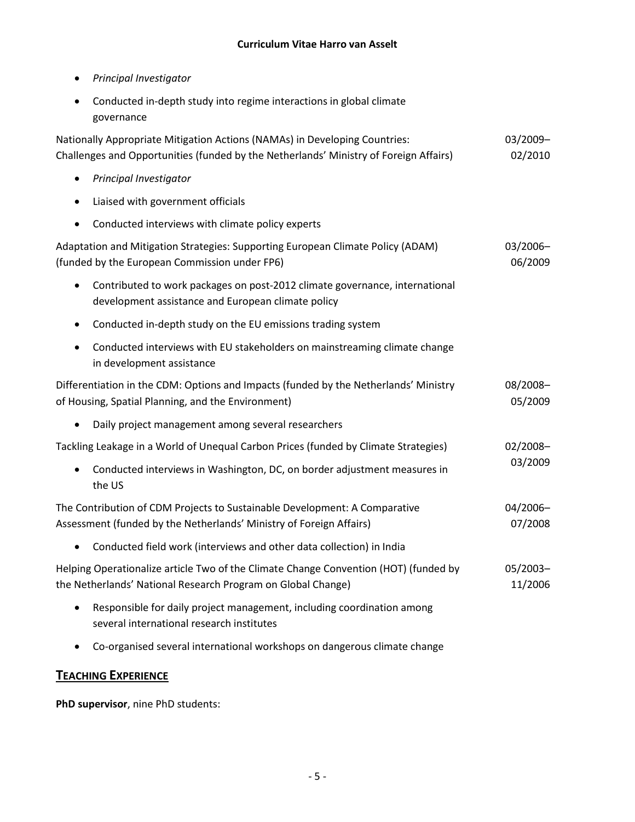- *Principal Investigator*
- Conducted in-depth study into regime interactions in global climate governance

| Nationally Appropriate Mitigation Actions (NAMAs) in Developing Countries:<br>Challenges and Opportunities (funded by the Netherlands' Ministry of Foreign Affairs) | 03/2009-<br>02/2010 |
|---------------------------------------------------------------------------------------------------------------------------------------------------------------------|---------------------|
| Principal Investigator<br>$\bullet$                                                                                                                                 |                     |
| Liaised with government officials<br>$\bullet$                                                                                                                      |                     |
| Conducted interviews with climate policy experts<br>$\bullet$                                                                                                       |                     |
| Adaptation and Mitigation Strategies: Supporting European Climate Policy (ADAM)<br>(funded by the European Commission under FP6)                                    | 03/2006-<br>06/2009 |
| Contributed to work packages on post-2012 climate governance, international<br>$\bullet$<br>development assistance and European climate policy                      |                     |
| Conducted in-depth study on the EU emissions trading system<br>$\bullet$                                                                                            |                     |
| Conducted interviews with EU stakeholders on mainstreaming climate change<br>$\bullet$<br>in development assistance                                                 |                     |
| Differentiation in the CDM: Options and Impacts (funded by the Netherlands' Ministry<br>of Housing, Spatial Planning, and the Environment)                          | 08/2008-<br>05/2009 |
| Daily project management among several researchers<br>$\bullet$                                                                                                     |                     |
| Tackling Leakage in a World of Unequal Carbon Prices (funded by Climate Strategies)                                                                                 | 02/2008-            |
| Conducted interviews in Washington, DC, on border adjustment measures in<br>$\bullet$<br>the US                                                                     | 03/2009             |
| The Contribution of CDM Projects to Sustainable Development: A Comparative<br>Assessment (funded by the Netherlands' Ministry of Foreign Affairs)                   | 04/2006-<br>07/2008 |
| Conducted field work (interviews and other data collection) in India<br>$\bullet$                                                                                   |                     |
| Helping Operationalize article Two of the Climate Change Convention (HOT) (funded by<br>the Netherlands' National Research Program on Global Change)                | 05/2003-<br>11/2006 |
| Responsible for daily project management, including coordination among<br>$\bullet$<br>several international research institutes                                    |                     |

• Co-organised several international workshops on dangerous climate change

# **TEACHING EXPERIENCE**

**PhD supervisor**, nine PhD students: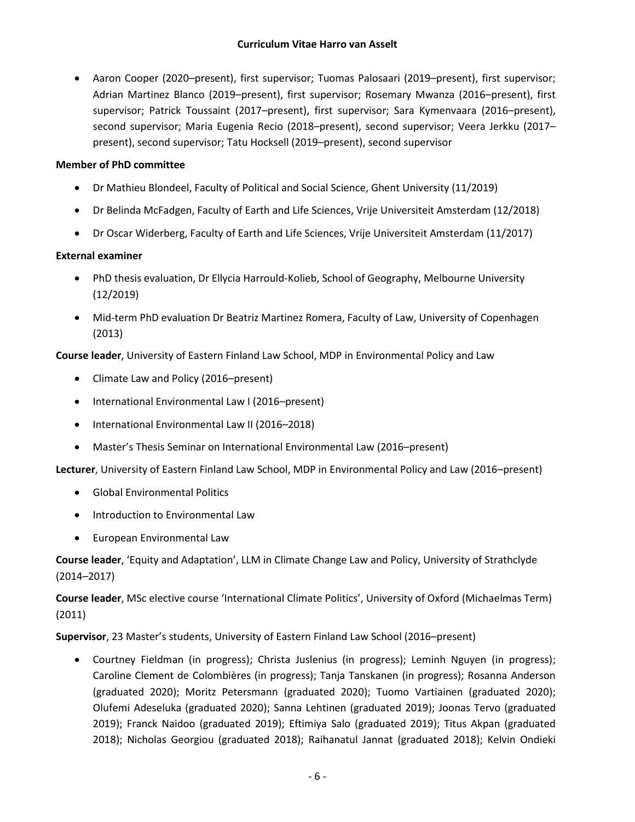• Aaron Cooper (2020–present), first supervisor; Tuomas Palosaari (2019–present), first supervisor; Adrian Martinez Blanco (2019–present), first supervisor; Rosemary Mwanza (2016–present), first supervisor; Patrick Toussaint (2017–present), first supervisor; Sara Kymenvaara (2016–present), second supervisor; Maria Eugenia Recio (2018–present), second supervisor; Veera Jerkku (2017– present), second supervisor; Tatu Hocksell (2019–present), second supervisor

#### **Member of PhD committee**

- Dr Mathieu Blondeel, Faculty of Political and Social Science, Ghent University (11/2019)
- Dr Belinda McFadgen, Faculty of Earth and Life Sciences, Vrije Universiteit Amsterdam (12/2018)
- Dr Oscar Widerberg, Faculty of Earth and Life Sciences, Vrije Universiteit Amsterdam (11/2017)

#### **External examiner**

- PhD thesis evaluation, Dr Ellycia Harrould-Kolieb, School of Geography, Melbourne University (12/2019)
- Mid-term PhD evaluation Dr Beatriz Martinez Romera, Faculty of Law, University of Copenhagen (2013)

**Course leader**, University of Eastern Finland Law School, MDP in Environmental Policy and Law

- Climate Law and Policy (2016–present)
- International Environmental Law I (2016–present)
- International Environmental Law II (2016–2018)
- Master's Thesis Seminar on International Environmental Law (2016–present)

**Lecturer**, University of Eastern Finland Law School, MDP in Environmental Policy and Law (2016–present)

- Global Environmental Politics
- Introduction to Environmental Law
- European Environmental Law

**Course leader**, 'Equity and Adaptation', LLM in Climate Change Law and Policy, University of Strathclyde (2014–2017)

**Course leader**, MSc elective course 'International Climate Politics', University of Oxford (Michaelmas Term) (2011)

**Supervisor**, 23 Master's students, University of Eastern Finland Law School (2016–present)

• Courtney Fieldman (in progress); Christa Juslenius (in progress); Leminh Nguyen (in progress); Caroline Clement de Colombières (in progress); Tanja Tanskanen (in progress); Rosanna Anderson (graduated 2020); Moritz Petersmann (graduated 2020); Tuomo Vartiainen (graduated 2020); Olufemi Adeseluka (graduated 2020); Sanna Lehtinen (graduated 2019); Joonas Tervo (graduated 2019); Franck Naidoo (graduated 2019); Eftimiya Salo (graduated 2019); Titus Akpan (graduated 2018); Nicholas Georgiou (graduated 2018); Raihanatul Jannat (graduated 2018); Kelvin Ondieki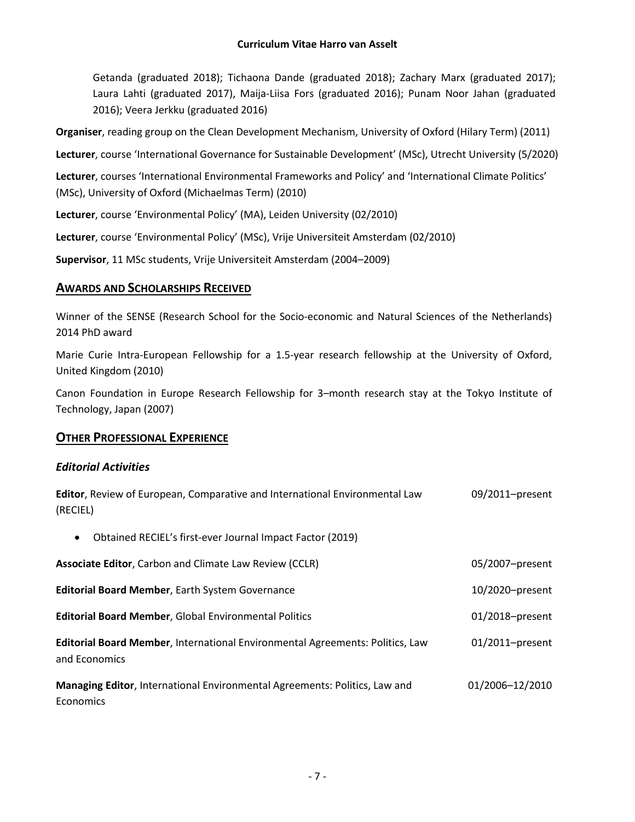Getanda (graduated 2018); Tichaona Dande (graduated 2018); Zachary Marx (graduated 2017); Laura Lahti (graduated 2017), Maija-Liisa Fors (graduated 2016); Punam Noor Jahan (graduated 2016); Veera Jerkku (graduated 2016)

**Organiser**, reading group on the Clean Development Mechanism, University of Oxford (Hilary Term) (2011)

Lecturer, course 'International Governance for Sustainable Development' (MSc), Utrecht University (5/2020)

**Lecturer**, courses 'International Environmental Frameworks and Policy' and 'International Climate Politics' (MSc), University of Oxford (Michaelmas Term) (2010)

**Lecturer**, course 'Environmental Policy' (MA), Leiden University (02/2010)

**Lecturer**, course 'Environmental Policy' (MSc), Vrije Universiteit Amsterdam (02/2010)

**Supervisor**, 11 MSc students, Vrije Universiteit Amsterdam (2004–2009)

**Editor**, Review of European, Comparative and International Environmental Law

### **AWARDS AND SCHOLARSHIPS RECEIVED**

Winner of the SENSE (Research School for the Socio-economic and Natural Sciences of the Netherlands) 2014 PhD award

Marie Curie Intra-European Fellowship for a 1.5-year research fellowship at the University of Oxford, United Kingdom (2010)

Canon Foundation in Europe Research Fellowship for 3–month research stay at the Tokyo Institute of Technology, Japan (2007)

09/2011–present

### **OTHER PROFESSIONAL EXPERIENCE**

#### *Editorial Activities*

| (RECIEL)                                                                                       |                 |
|------------------------------------------------------------------------------------------------|-----------------|
| Obtained RECIEL's first-ever Journal Impact Factor (2019)<br>$\bullet$                         |                 |
| <b>Associate Editor, Carbon and Climate Law Review (CCLR)</b>                                  | 05/2007-present |
| <b>Editorial Board Member, Earth System Governance</b>                                         | 10/2020-present |
| <b>Editorial Board Member, Global Environmental Politics</b>                                   | 01/2018-present |
| Editorial Board Member, International Environmental Agreements: Politics, Law<br>and Economics | 01/2011-present |
| Managing Editor, International Environmental Agreements: Politics, Law and<br>Economics        | 01/2006-12/2010 |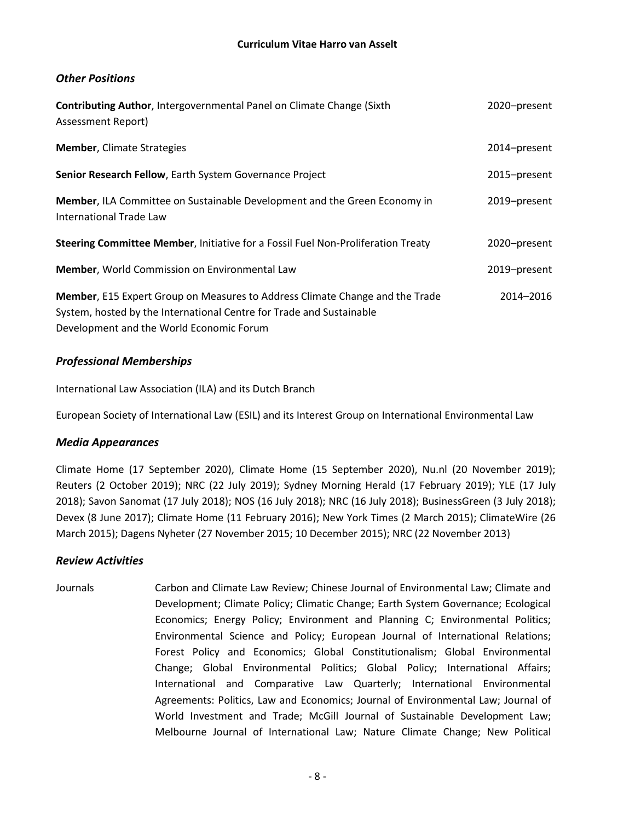### *Other Positions*

| <b>Contributing Author, Intergovernmental Panel on Climate Change (Sixth)</b><br>Assessment Report)                                                                                              | 2020-present |
|--------------------------------------------------------------------------------------------------------------------------------------------------------------------------------------------------|--------------|
| <b>Member, Climate Strategies</b>                                                                                                                                                                | 2014-present |
| Senior Research Fellow, Earth System Governance Project                                                                                                                                          | 2015-present |
| Member, ILA Committee on Sustainable Development and the Green Economy in<br>International Trade Law                                                                                             | 2019-present |
| Steering Committee Member, Initiative for a Fossil Fuel Non-Proliferation Treaty                                                                                                                 | 2020-present |
| <b>Member, World Commission on Environmental Law</b>                                                                                                                                             | 2019–present |
| Member, E15 Expert Group on Measures to Address Climate Change and the Trade<br>System, hosted by the International Centre for Trade and Sustainable<br>Development and the World Economic Forum | 2014-2016    |

# *Professional Memberships*

International Law Association (ILA) and its Dutch Branch

European Society of International Law (ESIL) and its Interest Group on International Environmental Law

### *Media Appearances*

Climate Home (17 September 2020), Climate Home (15 September 2020), Nu.nl (20 November 2019); Reuters (2 October 2019); NRC (22 July 2019); Sydney Morning Herald (17 February 2019); YLE (17 July 2018); Savon Sanomat (17 July 2018); NOS (16 July 2018); NRC (16 July 2018); BusinessGreen (3 July 2018); Devex (8 June 2017); Climate Home (11 February 2016); New York Times (2 March 2015); ClimateWire (26 March 2015); Dagens Nyheter (27 November 2015; 10 December 2015); NRC (22 November 2013)

### *Review Activities*

Journals Carbon and Climate Law Review; Chinese Journal of Environmental Law; Climate and Development; Climate Policy; Climatic Change; Earth System Governance; Ecological Economics; Energy Policy; Environment and Planning C; Environmental Politics; Environmental Science and Policy; European Journal of International Relations; Forest Policy and Economics; Global Constitutionalism; Global Environmental Change; Global Environmental Politics; Global Policy; International Affairs; International and Comparative Law Quarterly; International Environmental Agreements: Politics, Law and Economics; Journal of Environmental Law; Journal of World Investment and Trade; McGill Journal of Sustainable Development Law; Melbourne Journal of International Law; Nature Climate Change; New Political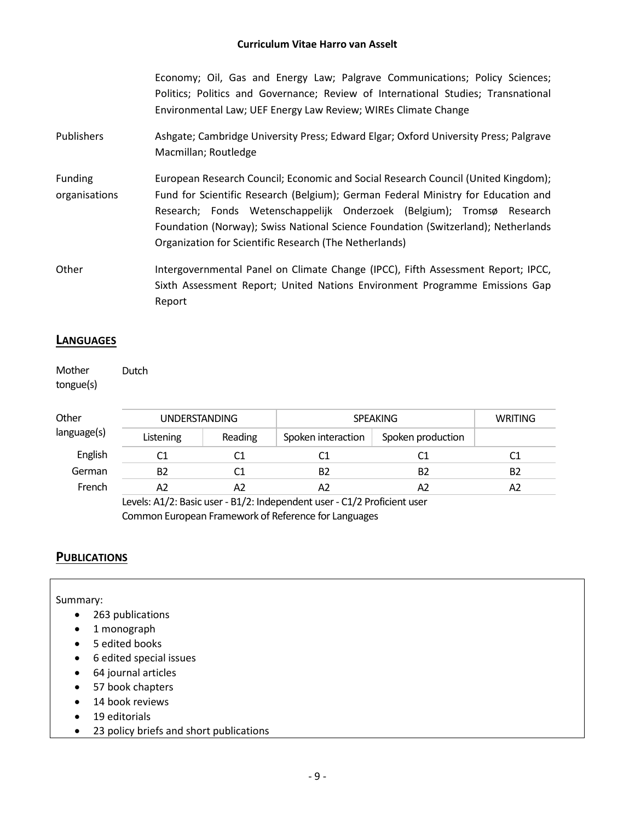Economy; Oil, Gas and Energy Law; Palgrave Communications; Policy Sciences; Politics; Politics and Governance; Review of International Studies; Transnational Environmental Law; UEF Energy Law Review; WIREs Climate Change

Publishers **Ashgate; Cambridge University Press; Edward Elgar; Oxford University Press; Palgrave** Macmillan; Routledge

Funding organisations European Research Council; Economic and Social Research Council (United Kingdom); Fund for Scientific Research (Belgium); German Federal Ministry for Education and Research; Fonds Wetenschappelijk Onderzoek (Belgium); Tromsø Research Foundation (Norway); Swiss National Science Foundation (Switzerland); Netherlands Organization for Scientific Research (The Netherlands)

Other **Intergovernmental Panel on Climate Change (IPCC)**, Fifth Assessment Report; IPCC, Sixth Assessment Report; United Nations Environment Programme Emissions Gap Report

### **LANGUAGES**

Mother tongue(s) Dutch

| Other       | <b>UNDERSTANDING</b> |         | <b>SPEAKING</b>    |                   | <b>WRITING</b> |
|-------------|----------------------|---------|--------------------|-------------------|----------------|
| language(s) | Listening            | Reading | Spoken interaction | Spoken production |                |
| English     |                      |         | C1                 |                   |                |
| German      | В2                   | C1      | B2                 | B <sub>2</sub>    | B <sub>2</sub> |
| French      | А2                   |         | A2                 |                   | A2             |

Levels: A1/2: Basic user - B1/2: Independent user - C1/2 Proficient user Common European Framework of Reference for Languages

### **PUBLICATIONS**

Summary:

- 263 publications
- 1 monograph
- 5 edited books
- 6 edited special issues
- 64 journal articles
- 57 book chapters
- 14 book reviews
- 19 editorials
- 23 policy briefs and short publications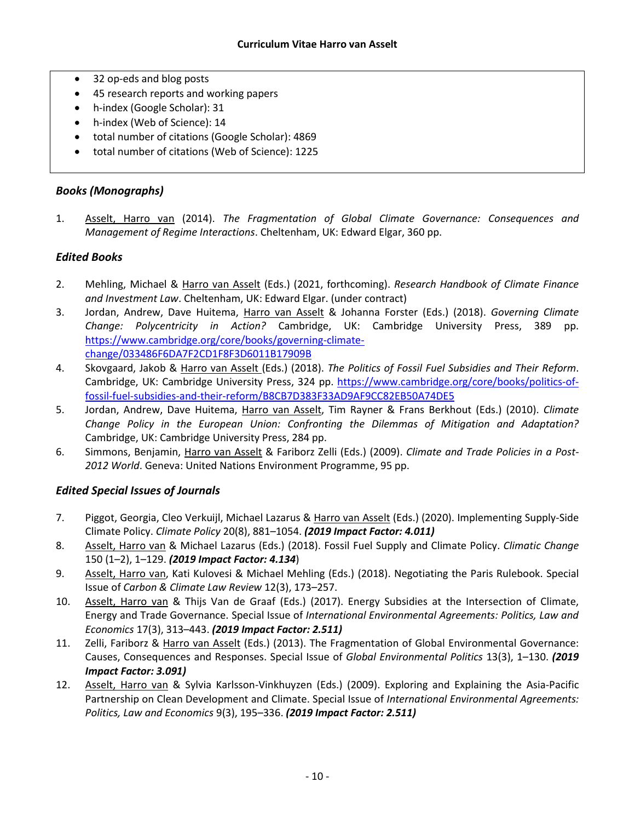- 32 op-eds and blog posts
- 45 research reports and working papers
- h-index (Google Scholar): 31
- h-index (Web of Science): 14
- total number of citations (Google Scholar): 4869
- total number of citations (Web of Science): 1225

# *Books (Monographs)*

1. Asselt, Harro van (2014). *The Fragmentation of Global Climate Governance: Consequences and Management of Regime Interactions*. Cheltenham, UK: Edward Elgar, 360 pp.

### *Edited Books*

- 2. Mehling, Michael & Harro van Asselt (Eds.) (2021, forthcoming). *Research Handbook of Climate Finance and Investment Law*. Cheltenham, UK: Edward Elgar. (under contract)
- 3. Jordan, Andrew, Dave Huitema, Harro van Asselt & Johanna Forster (Eds.) (2018). *Governing Climate Change: Polycentricity in Action?* Cambridge, UK: Cambridge University Press, 389 pp. [https://www.cambridge.org/core/books/governing-climate](https://www.cambridge.org/core/books/governing-climate-change/033486F6DA7F2CD1F8F3D6011B17909B)[change/033486F6DA7F2CD1F8F3D6011B17909B](https://www.cambridge.org/core/books/governing-climate-change/033486F6DA7F2CD1F8F3D6011B17909B)
- 4. Skovgaard, Jakob & Harro van Asselt (Eds.) (2018). *The Politics of Fossil Fuel Subsidies and Their Reform*. Cambridge, UK: Cambridge University Press, 324 pp. [https://www.cambridge.org/core/books/politics-of](https://www.cambridge.org/core/books/politics-of-fossil-fuel-subsidies-and-their-reform/B8CB7D383F33AD9AF9CC82EB50A74DE5)[fossil-fuel-subsidies-and-their-reform/B8CB7D383F33AD9AF9CC82EB50A74DE5](https://www.cambridge.org/core/books/politics-of-fossil-fuel-subsidies-and-their-reform/B8CB7D383F33AD9AF9CC82EB50A74DE5)
- 5. Jordan, Andrew, Dave Huitema, Harro van Asselt, Tim Rayner & Frans Berkhout (Eds.) (2010). *Climate Change Policy in the European Union: Confronting the Dilemmas of Mitigation and Adaptation?* Cambridge, UK: Cambridge University Press, 284 pp.
- 6. Simmons, Benjamin, Harro van Asselt & Fariborz Zelli (Eds.) (2009). *Climate and Trade Policies in a Post-2012 World*. Geneva: United Nations Environment Programme, 95 pp.

### *Edited Special Issues of Journals*

- 7. Piggot, Georgia, Cleo Verkuijl, Michael Lazarus & Harro van Asselt (Eds.) (2020). Implementing Supply-Side Climate Policy. *Climate Policy* 20(8), 881–1054. *(2019 Impact Factor: 4.011)*
- 8. Asselt, Harro van & Michael Lazarus (Eds.) (2018). Fossil Fuel Supply and Climate Policy. *Climatic Change* 150 (1–2), 1–129. *(2019 Impact Factor: 4.134*)
- 9. Asselt, Harro van, Kati Kulovesi & Michael Mehling (Eds.) (2018). Negotiating the Paris Rulebook. Special Issue of *Carbon & Climate Law Review* 12(3), 173–257.
- 10. Asselt, Harro van & Thijs Van de Graaf (Eds.) (2017). Energy Subsidies at the Intersection of Climate, Energy and Trade Governance. Special Issue of *International Environmental Agreements: Politics, Law and Economics* 17(3), 313–443. *(2019 Impact Factor: 2.511)*
- 11. Zelli, Fariborz & Harro van Asselt (Eds.) (2013). The Fragmentation of Global Environmental Governance: Causes, Consequences and Responses. Special Issue of *Global Environmental Politics* 13(3), 1–130. *(2019 Impact Factor: 3.091)*
- 12. Asselt, Harro van & Sylvia Karlsson-Vinkhuyzen (Eds.) (2009). Exploring and Explaining the Asia-Pacific Partnership on Clean Development and Climate. Special Issue of *International Environmental Agreements: Politics, Law and Economics* 9(3), 195–336. *(2019 Impact Factor: 2.511)*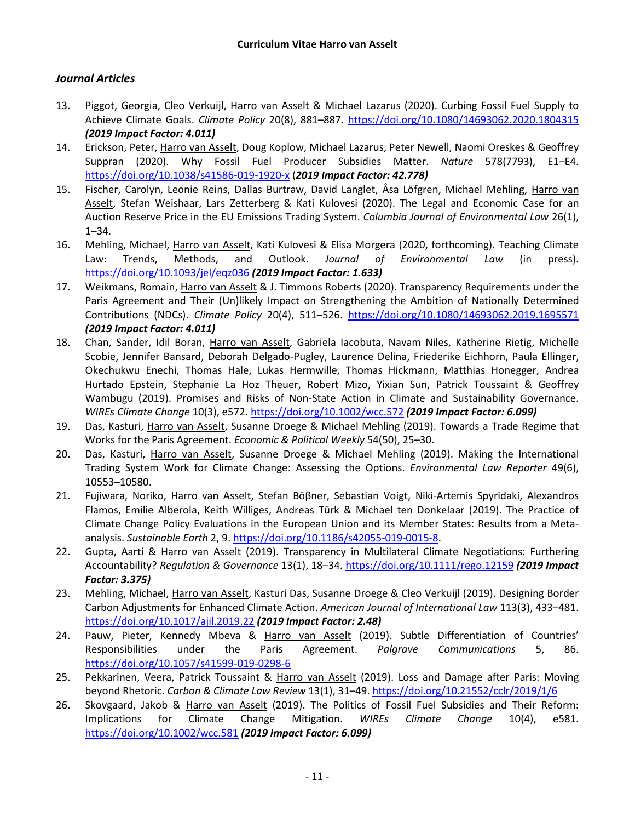### *Journal Articles*

- 13. Piggot, Georgia, Cleo Verkuijl, Harro van Asselt & Michael Lazarus (2020). Curbing Fossil Fuel Supply to Achieve Climate Goals. *Climate Policy* 20(8), 881–887. <https://doi.org/10.1080/14693062.2020.1804315> *(2019 Impact Factor: 4.011)*
- 14. Erickson, Peter, Harro van Asselt, Doug Koplow, Michael Lazarus, Peter Newell, Naomi Oreskes & Geoffrey Suppran (2020). Why Fossil Fuel Producer Subsidies Matter. *Nature* 578(7793), E1–E4. <https://doi.org/10.1038/s41586-019-1920-x> (*2019 Impact Factor: 42.778)*
- 15. Fischer, Carolyn, Leonie Reins, Dallas Burtraw, David Langlet, Åsa Löfgren, Michael Mehling, Harro van Asselt, Stefan Weishaar, Lars Zetterberg & Kati Kulovesi (2020). The Legal and Economic Case for an Auction Reserve Price in the EU Emissions Trading System. *Columbia Journal of Environmental Law* 26(1), 1–34.
- 16. Mehling, Michael, Harro van Asselt, Kati Kulovesi & Elisa Morgera (2020, forthcoming). Teaching Climate Law: Trends, Methods, and Outlook. *Journal of Environmental Law* (in press). <https://doi.org/10.1093/jel/eqz036> *(2019 Impact Factor: 1.633)*
- 17. Weikmans, Romain, Harro van Asselt & J. Timmons Roberts (2020). Transparency Requirements under the Paris Agreement and Their (Un)likely Impact on Strengthening the Ambition of Nationally Determined Contributions (NDCs). *Climate Policy* 20(4), 511–526. <https://doi.org/10.1080/14693062.2019.1695571> *(2019 Impact Factor: 4.011)*
- 18. Chan, Sander, Idil Boran, Harro van Asselt, Gabriela Iacobuta, Navam Niles, Katherine Rietig, Michelle Scobie, Jennifer Bansard, Deborah Delgado-Pugley, Laurence Delina, Friederike Eichhorn, Paula Ellinger, Okechukwu Enechi, Thomas Hale, Lukas Hermwille, Thomas Hickmann, Matthias Honegger, Andrea Hurtado Epstein, Stephanie La Hoz Theuer, Robert Mizo, Yixian Sun, Patrick Toussaint & Geoffrey Wambugu (2019). Promises and Risks of Non-State Action in Climate and Sustainability Governance. *WIREs Climate Change* 10(3), e572. <https://doi.org/10.1002/wcc.572> *(2019 Impact Factor: 6.099)*
- 19. Das, Kasturi, Harro van Asselt, Susanne Droege & Michael Mehling (2019). Towards a Trade Regime that Works for the Paris Agreement. *Economic & Political Weekly* 54(50), 25–30.
- 20. Das, Kasturi, Harro van Asselt, Susanne Droege & Michael Mehling (2019). Making the International Trading System Work for Climate Change: Assessing the Options. *Environmental Law Reporter* 49(6), 10553–10580.
- 21. Fujiwara, Noriko, Harro van Asselt, Stefan Böβner, Sebastian Voigt, Niki-Artemis Spyridaki, Alexandros Flamos, Emilie Alberola, Keith Williges, Andreas Türk & Michael ten Donkelaar (2019). The Practice of Climate Change Policy Evaluations in the European Union and its Member States: Results from a Metaanalysis. *Sustainable Earth* 2, 9. [https://doi.org/10.1186/s42055-019-0015-8.](https://doi.org/10.1186/s42055-019-0015-8)
- 22. Gupta, Aarti & Harro van Asselt (2019). Transparency in Multilateral Climate Negotiations: Furthering Accountability? *Regulation & Governance* 13(1), 18–34.<https://doi.org/10.1111/rego.12159> *(2019 Impact Factor: 3.375)*
- 23. Mehling, Michael, Harro van Asselt, Kasturi Das, Susanne Droege & Cleo Verkuijl (2019). Designing Border Carbon Adjustments for Enhanced Climate Action. *American Journal of International Law* 113(3), 433–481. <https://doi.org/10.1017/ajil.2019.22> *(2019 Impact Factor: 2.48)*
- 24. Pauw, Pieter, Kennedy Mbeva & Harro van Asselt (2019). Subtle Differentiation of Countries' Responsibilities under the Paris Agreement. *Palgrave Communications* 5, 86. <https://doi.org/10.1057/s41599-019-0298-6>
- 25. Pekkarinen, Veera, Patrick Toussaint & Harro van Asselt (2019). Loss and Damage after Paris: Moving beyond Rhetoric. *Carbon & Climate Law Review* 13(1), 31–49. <https://doi.org/10.21552/cclr/2019/1/6>
- 26. Skovgaard, Jakob & Harro van Asselt (2019). The Politics of Fossil Fuel Subsidies and Their Reform: Implications for Climate Change Mitigation. *WIREs Climate Change* 10(4), e581. <https://doi.org/10.1002/wcc.581> *(2019 Impact Factor: 6.099)*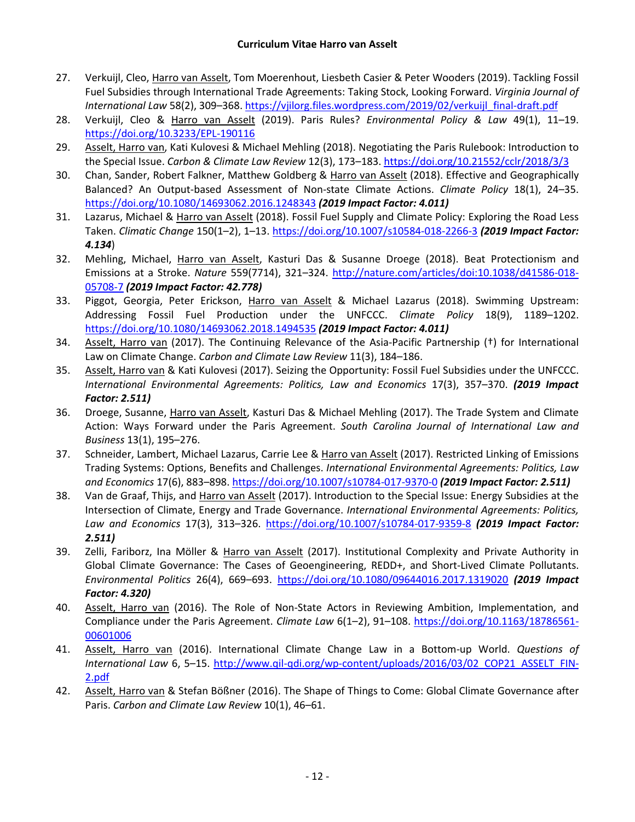- 27. Verkuijl, Cleo, Harro van Asselt, Tom Moerenhout, Liesbeth Casier & Peter Wooders (2019). Tackling Fossil Fuel Subsidies through International Trade Agreements: Taking Stock, Looking Forward. *Virginia Journal of International Law* 58(2), 309–368. [https://vjilorg.files.wordpress.com/2019/02/verkuijl\\_final-draft.pdf](https://vjilorg.files.wordpress.com/2019/02/verkuijl_final-draft.pdf)
- 28. Verkuijl, Cleo & Harro van Asselt (2019). Paris Rules? *Environmental Policy & Law* 49(1), 11–19. <https://doi.org/10.3233/EPL-190116>
- 29. Asselt, Harro van, Kati Kulovesi & Michael Mehling (2018). Negotiating the Paris Rulebook: Introduction to the Special Issue. *Carbon & Climate Law Review* 12(3), 173–183. <https://doi.org/10.21552/cclr/2018/3/3>
- 30. Chan, Sander, Robert Falkner, Matthew Goldberg & Harro van Asselt (2018). Effective and Geographically Balanced? An Output-based Assessment of Non-state Climate Actions. *Climate Policy* 18(1), 24–35. <https://doi.org/10.1080/14693062.2016.1248343> *(2019 Impact Factor: 4.011)*
- 31. Lazarus, Michael & Harro van Asselt (2018). Fossil Fuel Supply and Climate Policy: Exploring the Road Less Taken. *Climatic Change* 150(1–2), 1–13[. https://doi.org/10.1007/s10584-018-2266-3](https://doi.org/10.1007/s10584-018-2266-3) *(2019 Impact Factor: 4.134*)
- 32. Mehling, Michael, Harro van Asselt, Kasturi Das & Susanne Droege (2018). Beat Protectionism and Emissions at a Stroke. *Nature* 559(7714), 321–324. [http://nature.com/articles/doi:10.1038/d41586-018-](http://nature.com/articles/doi:10.1038/d41586-018-05708-7) [05708-7](http://nature.com/articles/doi:10.1038/d41586-018-05708-7) *(2019 Impact Factor: 42.778)*
- 33. Piggot, Georgia, Peter Erickson, Harro van Asselt & Michael Lazarus (2018). Swimming Upstream: Addressing Fossil Fuel Production under the UNFCCC. *Climate Policy* 18(9), 1189–1202. <https://doi.org/10.1080/14693062.2018.1494535> *(2019 Impact Factor: 4.011)*
- 34. Asselt, Harro van (2017). The Continuing Relevance of the Asia-Pacific Partnership (†) for International Law on Climate Change. *Carbon and Climate Law Review* 11(3), 184–186.
- 35. Asselt, Harro van & Kati Kulovesi (2017). Seizing the Opportunity: Fossil Fuel Subsidies under the UNFCCC. *International Environmental Agreements: Politics, Law and Economics* 17(3), 357–370. *(2019 Impact Factor: 2.511)*
- 36. Droege, Susanne, Harro van Asselt, Kasturi Das & Michael Mehling (2017). The Trade System and Climate Action: Ways Forward under the Paris Agreement. *South Carolina Journal of International Law and Business* 13(1), 195–276.
- 37. Schneider, Lambert, Michael Lazarus, Carrie Lee & Harro van Asselt (2017). Restricted Linking of Emissions Trading Systems: Options, Benefits and Challenges. *International Environmental Agreements: Politics, Law and Economics* 17(6), 883–898. <https://doi.org/10.1007/s10784-017-9370-0> *(2019 Impact Factor: 2.511)*
- 38. Van de Graaf, Thijs, and Harro van Asselt (2017). Introduction to the Special Issue: Energy Subsidies at the Intersection of Climate, Energy and Trade Governance. *International Environmental Agreements: Politics, Law and Economics* 17(3), 313–326. <https://doi.org/10.1007/s10784-017-9359-8> *(2019 Impact Factor: 2.511)*
- 39. Zelli, Fariborz, Ina Möller & Harro van Asselt (2017). Institutional Complexity and Private Authority in Global Climate Governance: The Cases of Geoengineering, REDD+, and Short-Lived Climate Pollutants. *Environmental Politics* 26(4), 669–693. <https://doi.org/10.1080/09644016.2017.1319020> *(2019 Impact Factor: 4.320)*
- 40. Asselt, Harro van (2016). The Role of Non-State Actors in Reviewing Ambition, Implementation, and Compliance under the Paris Agreement. *Climate Law* 6(1–2), 91–108. [https://doi.org/10.1163/18786561-](https://doi.org/10.1163/18786561-00601006) [00601006](https://doi.org/10.1163/18786561-00601006)
- 41. Asselt, Harro van (2016). International Climate Change Law in a Bottom-up World. *Questions of International Law* 6, 5–15. [http://www.qil-qdi.org/wp-content/uploads/2016/03/02\\_COP21\\_ASSELT\\_FIN-](http://www.qil-qdi.org/wp-content/uploads/2016/03/02_COP21_ASSELT_FIN-2.pdf)[2.pdf](http://www.qil-qdi.org/wp-content/uploads/2016/03/02_COP21_ASSELT_FIN-2.pdf)
- 42. Asselt, Harro van & Stefan Bößner (2016). The Shape of Things to Come: Global Climate Governance after Paris. *Carbon and Climate Law Review* 10(1), 46–61.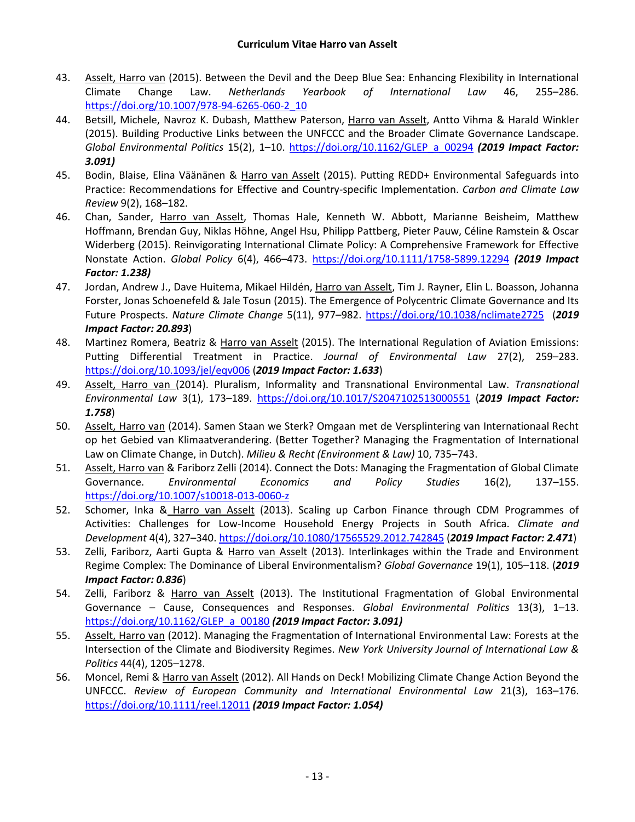- 43. Asselt, Harro van (2015). Between the Devil and the Deep Blue Sea: Enhancing Flexibility in International Climate Change Law. *Netherlands Yearbook of International Law* 46, 255–286. [https://doi.org/10.1007/978-94-6265-060-2\\_10](https://doi.org/10.1007/978-94-6265-060-2_10)
- 44. Betsill, Michele, Navroz K. Dubash, Matthew Paterson, Harro van Asselt, Antto Vihma & Harald Winkler (2015). Building Productive Links between the UNFCCC and the Broader Climate Governance Landscape. *Global Environmental Politics* 15(2), 1–10. [https://doi.org/10.1162/GLEP\\_a\\_00294](https://doi.org/10.1162/GLEP_a_00294) *(2019 Impact Factor: 3.091)*
- 45. Bodin, Blaise, Elina Väänänen & Harro van Asselt (2015). Putting REDD+ Environmental Safeguards into Practice: Recommendations for Effective and Country-specific Implementation. *Carbon and Climate Law Review* 9(2), 168–182.
- 46. Chan, Sander, Harro van Asselt, Thomas Hale, Kenneth W. Abbott, Marianne Beisheim, Matthew Hoffmann, Brendan Guy, Niklas Höhne, Angel Hsu, Philipp Pattberg, Pieter Pauw, Céline Ramstein & Oscar Widerberg (2015). Reinvigorating International Climate Policy: A Comprehensive Framework for Effective Nonstate Action. *Global Policy* 6(4), 466–473. <https://doi.org/10.1111/1758-5899.12294> *(2019 Impact Factor: 1.238)*
- 47. Jordan, Andrew J., Dave Huitema, Mikael Hildén, Harro van Asselt, Tim J. Rayner, Elin L. Boasson, Johanna Forster, Jonas Schoenefeld & Jale Tosun (2015). The Emergence of Polycentric Climate Governance and Its Future Prospects. *Nature Climate Change* 5(11), 977–982. <https://doi.org/10.1038/nclimate2725>(*2019 Impact Factor: 20.893*)
- 48. Martinez Romera, Beatriz & Harro van Asselt (2015). The International Regulation of Aviation Emissions: Putting Differential Treatment in Practice. *Journal of Environmental Law* 27(2), 259–283. <https://doi.org/10.1093/jel/eqv006> (*2019 Impact Factor: 1.633*)
- 49. Asselt, Harro van (2014). Pluralism, Informality and Transnational Environmental Law. *Transnational Environmental Law* 3(1), 173–189. <https://doi.org/10.1017/S2047102513000551> (*2019 Impact Factor: 1.758*)
- 50. Asselt, Harro van (2014). Samen Staan we Sterk? Omgaan met de Versplintering van Internationaal Recht op het Gebied van Klimaatverandering. (Better Together? Managing the Fragmentation of International Law on Climate Change, in Dutch). *Milieu & Recht (Environment & Law)* 10, 735–743.
- 51. Asselt, Harro van & Fariborz Zelli (2014). Connect the Dots: Managing the Fragmentation of Global Climate Governance. *Environmental Economics and Policy Studies* 16(2), 137–155. <https://doi.org/10.1007/s10018-013-0060-z>
- 52. Schomer, Inka & Harro van Asselt (2013). Scaling up Carbon Finance through CDM Programmes of Activities: Challenges for Low-Income Household Energy Projects in South Africa. *Climate and Development* 4(4), 327–340. <https://doi.org/10.1080/17565529.2012.742845> (*2019 Impact Factor: 2.471*)
- 53. Zelli, Fariborz, Aarti Gupta & Harro van Asselt (2013). Interlinkages within the Trade and Environment Regime Complex: The Dominance of Liberal Environmentalism? *Global Governance* 19(1), 105–118. (*2019 Impact Factor: 0.836*)
- 54. Zelli, Fariborz & Harro van Asselt (2013). The Institutional Fragmentation of Global Environmental Governance – Cause, Consequences and Responses. *Global Environmental Politics* 13(3), 1–13. [https://doi.org/10.1162/GLEP\\_a\\_00180](https://doi.org/10.1162/GLEP_a_00180) *(2019 Impact Factor: 3.091)*
- 55. Asselt, Harro van (2012). Managing the Fragmentation of International Environmental Law: Forests at the Intersection of the Climate and Biodiversity Regimes. *New York University Journal of International Law & Politics* 44(4), 1205–1278.
- 56. Moncel, Remi & Harro van Asselt (2012). All Hands on Deck! Mobilizing Climate Change Action Beyond the UNFCCC. *Review of European Community and International Environmental Law* 21(3), 163–176. <https://doi.org/10.1111/reel.12011> *(2019 Impact Factor: 1.054)*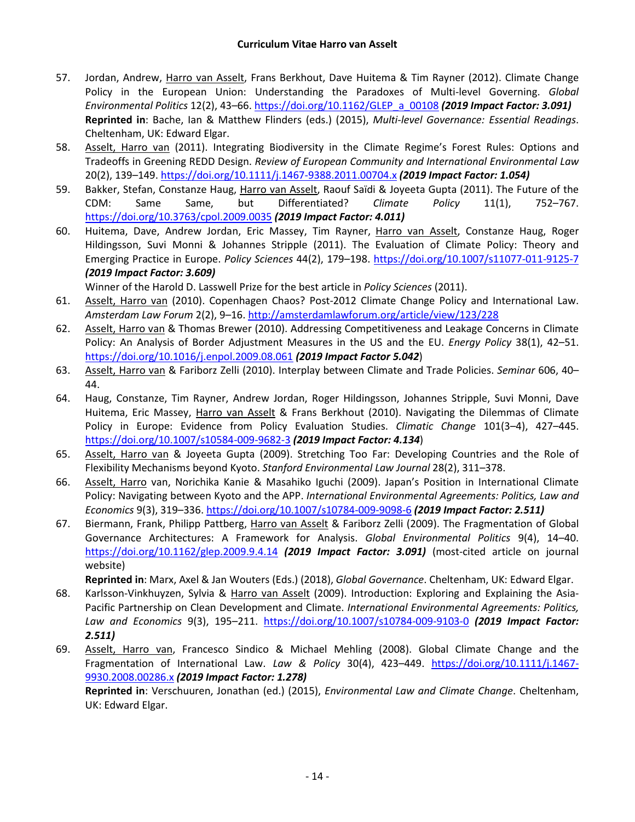- 57. Jordan, Andrew, Harro van Asselt, Frans Berkhout, Dave Huitema & Tim Rayner (2012). Climate Change Policy in the European Union: Understanding the Paradoxes of Multi-level Governing. *Global Environmental Politics* 12(2), 43–66. [https://doi.org/10.1162/GLEP\\_a\\_00108](https://doi.org/10.1162/GLEP_a_00108) *(2019 Impact Factor: 3.091)* **Reprinted in**: Bache, Ian & Matthew Flinders (eds.) (2015), *Multi-level Governance: Essential Readings*. Cheltenham, UK: Edward Elgar.
- 58. Asselt, Harro van (2011). Integrating Biodiversity in the Climate Regime's Forest Rules: Options and Tradeoffs in Greening REDD Design. *Review of European Community and International Environmental Law*  20(2), 139–149. <https://doi.org/10.1111/j.1467-9388.2011.00704.x> *(2019 Impact Factor: 1.054)*
- 59. Bakker, Stefan, Constanze Haug, Harro van Asselt, Raouf Saïdi & Joyeeta Gupta (2011). The Future of the CDM: Same Same, but Differentiated? *Climate Policy* 11(1), 752–767. <https://doi.org/10.3763/cpol.2009.0035> *(2019 Impact Factor: 4.011)*
- 60. Huitema, Dave, Andrew Jordan, Eric Massey, Tim Rayner, Harro van Asselt, Constanze Haug, Roger Hildingsson, Suvi Monni & Johannes Stripple (2011). The Evaluation of Climate Policy: Theory and Emerging Practice in Europe. *Policy Sciences* 44(2), 179–198. <https://doi.org/10.1007/s11077-011-9125-7> *(2019 Impact Factor: 3.609)*

Winner of the Harold D. Lasswell Prize for the best article in *Policy Sciences* (2011).

- 61. Asselt, Harro van (2010). Copenhagen Chaos? Post-2012 Climate Change Policy and International Law. *Amsterdam Law Forum* 2(2), 9–16. <http://amsterdamlawforum.org/article/view/123/228>
- 62. Asselt, Harro van & Thomas Brewer (2010). Addressing Competitiveness and Leakage Concerns in Climate Policy: An Analysis of Border Adjustment Measures in the US and the EU. *Energy Policy* 38(1), 42–51. <https://doi.org/10.1016/j.enpol.2009.08.061> *(2019 Impact Factor 5.042*)
- 63. Asselt, Harro van & Fariborz Zelli (2010). Interplay between Climate and Trade Policies. *Seminar* 606, 40– 44.
- 64. Haug, Constanze, Tim Rayner, Andrew Jordan, Roger Hildingsson, Johannes Stripple, Suvi Monni, Dave Huitema, Eric Massey, Harro van Asselt & Frans Berkhout (2010). Navigating the Dilemmas of Climate Policy in Europe: Evidence from Policy Evaluation Studies. *Climatic Change* 101(3–4), 427–445. <https://doi.org/10.1007/s10584-009-9682-3> *(2019 Impact Factor: 4.134*)
- 65. Asselt, Harro van & Joyeeta Gupta (2009). Stretching Too Far: Developing Countries and the Role of Flexibility Mechanisms beyond Kyoto. *Stanford Environmental Law Journal* 28(2), 311–378.
- 66. Asselt, Harro van, Norichika Kanie & Masahiko Iguchi (2009). Japan's Position in International Climate Policy: Navigating between Kyoto and the APP. *International Environmental Agreements: Politics, Law and Economics* 9(3), 319–336. <https://doi.org/10.1007/s10784-009-9098-6> *(2019 Impact Factor: 2.511)*
- 67. Biermann, Frank, Philipp Pattberg, Harro van Asselt & Fariborz Zelli (2009). The Fragmentation of Global Governance Architectures: A Framework for Analysis. *Global Environmental Politics* 9(4), 14–40. <https://doi.org/10.1162/glep.2009.9.4.14> *(2019 Impact Factor: 3.091)* (most-cited article on journal website)

**Reprinted in**: Marx, Axel & Jan Wouters (Eds.) (2018), *Global Governance*. Cheltenham, UK: Edward Elgar.

- 68. Karlsson-Vinkhuyzen, Sylvia & Harro van Asselt (2009). Introduction: Exploring and Explaining the Asia-Pacific Partnership on Clean Development and Climate. *International Environmental Agreements: Politics, Law and Economics* 9(3), 195–211. <https://doi.org/10.1007/s10784-009-9103-0> *(2019 Impact Factor: 2.511)*
- 69. Asselt, Harro van, Francesco Sindico & Michael Mehling (2008). Global Climate Change and the Fragmentation of International Law. *Law & Policy* 30(4), 423–449. [https://doi.org/10.1111/j.1467-](https://doi.org/10.1111/j.1467-9930.2008.00286.x) [9930.2008.00286.x](https://doi.org/10.1111/j.1467-9930.2008.00286.x) *(2019 Impact Factor: 1.278)*

**Reprinted in**: Verschuuren, Jonathan (ed.) (2015), *Environmental Law and Climate Change*. Cheltenham, UK: Edward Elgar.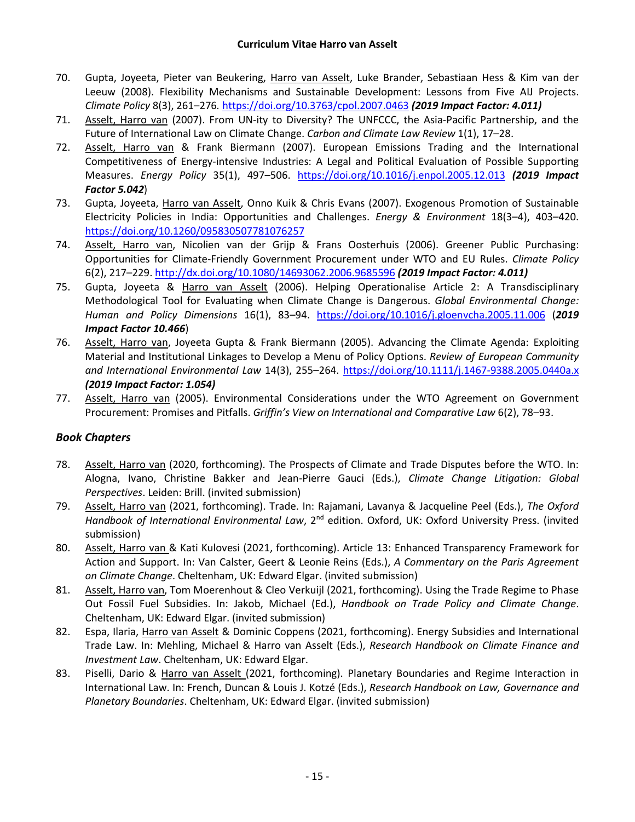- 70. Gupta, Joyeeta, Pieter van Beukering, Harro van Asselt, Luke Brander, Sebastiaan Hess & Kim van der Leeuw (2008). Flexibility Mechanisms and Sustainable Development: Lessons from Five AIJ Projects. *Climate Policy* 8(3), 261–276*.* <https://doi.org/10.3763/cpol.2007.0463> *(2019 Impact Factor: 4.011)*
- 71. Asselt, Harro van (2007). From UN-ity to Diversity? The UNFCCC, the Asia-Pacific Partnership, and the Future of International Law on Climate Change. *Carbon and Climate Law Review* 1(1), 17–28.
- 72. Asselt, Harro van & Frank Biermann (2007). European Emissions Trading and the International Competitiveness of Energy-intensive Industries: A Legal and Political Evaluation of Possible Supporting Measures. *Energy Policy* 35(1), 497–506. <https://doi.org/10.1016/j.enpol.2005.12.013> *(2019 Impact Factor 5.042*)
- 73. Gupta, Joyeeta, Harro van Asselt, Onno Kuik & Chris Evans (2007). Exogenous Promotion of Sustainable Electricity Policies in India: Opportunities and Challenges. *Energy & Environment* 18(3–4), 403–420. <https://doi.org/10.1260/095830507781076257>
- 74. Asselt, Harro van, Nicolien van der Grijp & Frans Oosterhuis (2006). Greener Public Purchasing: Opportunities for Climate-Friendly Government Procurement under WTO and EU Rules. *Climate Policy* 6(2), 217–229. <http://dx.doi.org/10.1080/14693062.2006.9685596> *(2019 Impact Factor: 4.011)*
- 75. Gupta, Joyeeta & Harro van Asselt (2006). Helping Operationalise Article 2: A Transdisciplinary Methodological Tool for Evaluating when Climate Change is Dangerous. *Global Environmental Change: Human and Policy Dimensions* 16(1), 83–94. <https://doi.org/10.1016/j.gloenvcha.2005.11.006> (*2019 Impact Factor 10.466*)
- 76. Asselt, Harro van, Joyeeta Gupta & Frank Biermann (2005). Advancing the Climate Agenda: Exploiting Material and Institutional Linkages to Develop a Menu of Policy Options. *Review of European Community and International Environmental Law* 14(3), 255–264. <https://doi.org/10.1111/j.1467-9388.2005.0440a.x> *(2019 Impact Factor: 1.054)*
- 77. Asselt, Harro van (2005). Environmental Considerations under the WTO Agreement on Government Procurement: Promises and Pitfalls. *Griffin's View on International and Comparative Law* 6(2), 78–93.

#### *Book Chapters*

- 78. Asselt, Harro van (2020, forthcoming). The Prospects of Climate and Trade Disputes before the WTO. In: Alogna, Ivano, Christine Bakker and Jean-Pierre Gauci (Eds.), *Climate Change Litigation: Global Perspectives*. Leiden: Brill. (invited submission)
- 79. Asselt, Harro van (2021, forthcoming). Trade. In: Rajamani, Lavanya & Jacqueline Peel (Eds.), *The Oxford*  Handbook of International Environmental Law, 2<sup>nd</sup> edition. Oxford, UK: Oxford University Press. (invited submission)
- 80. Asselt, Harro van & Kati Kulovesi (2021, forthcoming). Article 13: Enhanced Transparency Framework for Action and Support. In: Van Calster, Geert & Leonie Reins (Eds.), *A Commentary on the Paris Agreement on Climate Change*. Cheltenham, UK: Edward Elgar. (invited submission)
- 81. Asselt, Harro van, Tom Moerenhout & Cleo Verkuijl (2021, forthcoming). Using the Trade Regime to Phase Out Fossil Fuel Subsidies. In: Jakob, Michael (Ed.), *Handbook on Trade Policy and Climate Change*. Cheltenham, UK: Edward Elgar. (invited submission)
- 82. Espa, Ilaria, Harro van Asselt & Dominic Coppens (2021, forthcoming). Energy Subsidies and International Trade Law. In: Mehling, Michael & Harro van Asselt (Eds.), *Research Handbook on Climate Finance and Investment Law*. Cheltenham, UK: Edward Elgar.
- 83. Piselli, Dario & Harro van Asselt (2021, forthcoming). Planetary Boundaries and Regime Interaction in International Law. In: French, Duncan & Louis J. Kotzé (Eds.), *Research Handbook on Law, Governance and Planetary Boundaries*. Cheltenham, UK: Edward Elgar. (invited submission)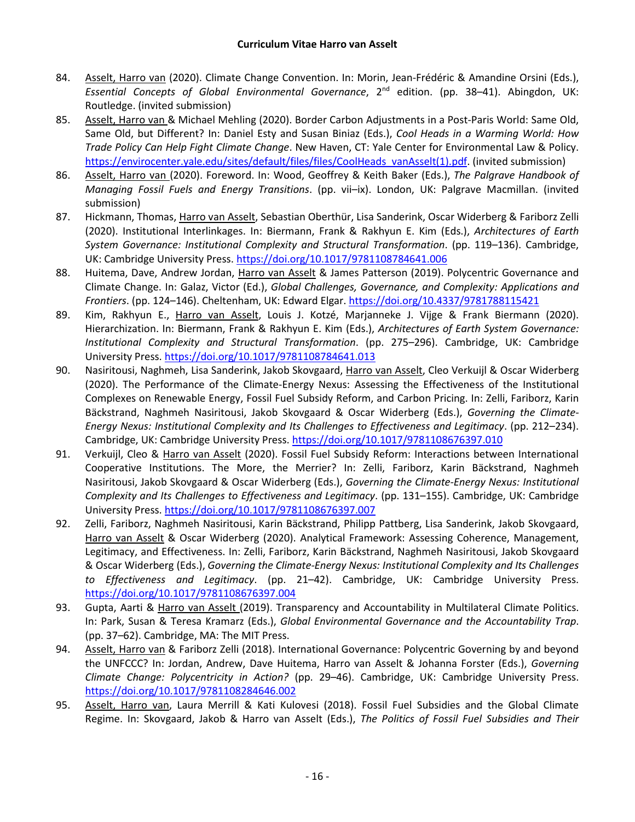- 84. Asselt, Harro van (2020). Climate Change Convention. In: Morin, Jean-Frédéric & Amandine Orsini (Eds.), *Essential Concepts of Global Environmental Governance*, 2nd edition. (pp. 38–41). Abingdon, UK: Routledge. (invited submission)
- 85. Asselt, Harro van & Michael Mehling (2020). Border Carbon Adjustments in a Post-Paris World: Same Old, Same Old, but Different? In: Daniel Esty and Susan Biniaz (Eds.), *Cool Heads in a Warming World: How Trade Policy Can Help Fight Climate Change*. New Haven, CT: Yale Center for Environmental Law & Policy. [https://envirocenter.yale.edu/sites/default/files/files/CoolHeads\\_vanAsselt\(1\).pdf.](https://envirocenter.yale.edu/sites/default/files/files/CoolHeads_vanAsselt(1).pdf) (invited submission)
- 86. Asselt, Harro van (2020). Foreword. In: Wood, Geoffrey & Keith Baker (Eds.), *The Palgrave Handbook of Managing Fossil Fuels and Energy Transitions*. (pp. vii–ix). London, UK: Palgrave Macmillan. (invited submission)
- 87. Hickmann, Thomas, Harro van Asselt, Sebastian Oberthür, Lisa Sanderink, Oscar Widerberg & Fariborz Zelli (2020). Institutional Interlinkages. In: Biermann, Frank & Rakhyun E. Kim (Eds.), *Architectures of Earth System Governance: Institutional Complexity and Structural Transformation*. (pp. 119–136). Cambridge, UK: Cambridge University Press. <https://doi.org/10.1017/9781108784641.006>
- 88. Huitema, Dave, Andrew Jordan, Harro van Asselt & James Patterson (2019). Polycentric Governance and Climate Change. In: Galaz, Victor (Ed.), *Global Challenges, Governance, and Complexity: Applications and Frontiers*. (pp. 124–146). Cheltenham, UK: Edward Elgar. <https://doi.org/10.4337/9781788115421>
- 89. Kim, Rakhyun E., Harro van Asselt, Louis J. Kotzé, Marjanneke J. Vijge & Frank Biermann (2020). Hierarchization. In: Biermann, Frank & Rakhyun E. Kim (Eds.), *Architectures of Earth System Governance: Institutional Complexity and Structural Transformation*. (pp. 275–296). Cambridge, UK: Cambridge University Press. <https://doi.org/10.1017/9781108784641.013>
- 90. Nasiritousi, Naghmeh, Lisa Sanderink, Jakob Skovgaard, Harro van Asselt, Cleo Verkuijl & Oscar Widerberg (2020). The Performance of the Climate-Energy Nexus: Assessing the Effectiveness of the Institutional Complexes on Renewable Energy, Fossil Fuel Subsidy Reform, and Carbon Pricing. In: Zelli, Fariborz, Karin Bäckstrand, Naghmeh Nasiritousi, Jakob Skovgaard & Oscar Widerberg (Eds.), *Governing the Climate-Energy Nexus: Institutional Complexity and Its Challenges to Effectiveness and Legitimacy*. (pp. 212–234). Cambridge, UK: Cambridge University Press. <https://doi.org/10.1017/9781108676397.010>
- 91. Verkuijl, Cleo & Harro van Asselt (2020). Fossil Fuel Subsidy Reform: Interactions between International Cooperative Institutions. The More, the Merrier? In: Zelli, Fariborz, Karin Bäckstrand, Naghmeh Nasiritousi, Jakob Skovgaard & Oscar Widerberg (Eds.), *Governing the Climate-Energy Nexus: Institutional Complexity and Its Challenges to Effectiveness and Legitimacy*. (pp. 131–155). Cambridge, UK: Cambridge University Press. <https://doi.org/10.1017/9781108676397.007>
- 92. Zelli, Fariborz, Naghmeh Nasiritousi, Karin Bäckstrand, Philipp Pattberg, Lisa Sanderink, Jakob Skovgaard, Harro van Asselt & Oscar Widerberg (2020). Analytical Framework: Assessing Coherence, Management, Legitimacy, and Effectiveness. In: Zelli, Fariborz, Karin Bäckstrand, Naghmeh Nasiritousi, Jakob Skovgaard & Oscar Widerberg (Eds.), *Governing the Climate-Energy Nexus: Institutional Complexity and Its Challenges to Effectiveness and Legitimacy*. (pp. 21–42). Cambridge, UK: Cambridge University Press. <https://doi.org/10.1017/9781108676397.004>
- 93. Gupta, Aarti & Harro van Asselt (2019). Transparency and Accountability in Multilateral Climate Politics. In: Park, Susan & Teresa Kramarz (Eds.), *Global Environmental Governance and the Accountability Trap*. (pp. 37–62). Cambridge, MA: The MIT Press.
- 94. Asselt, Harro van & Fariborz Zelli (2018). International Governance: Polycentric Governing by and beyond the UNFCCC? In: Jordan, Andrew, Dave Huitema, Harro van Asselt & Johanna Forster (Eds.), *Governing Climate Change: Polycentricity in Action?* (pp. 29–46). Cambridge, UK: Cambridge University Press. <https://doi.org/10.1017/9781108284646.002>
- 95. Asselt, Harro van, Laura Merrill & Kati Kulovesi (2018). Fossil Fuel Subsidies and the Global Climate Regime. In: Skovgaard, Jakob & Harro van Asselt (Eds.), *The Politics of Fossil Fuel Subsidies and Their*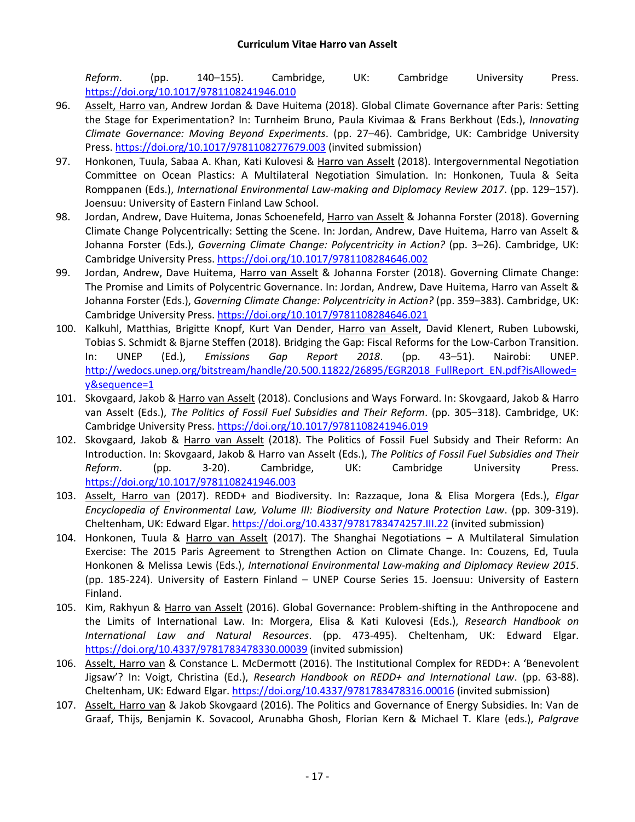*Reform*. (pp. 140–155). Cambridge, UK: Cambridge University Press. <https://doi.org/10.1017/9781108241946.010>

- 96. Asselt, Harro van, Andrew Jordan & Dave Huitema (2018). Global Climate Governance after Paris: Setting the Stage for Experimentation? In: Turnheim Bruno, Paula Kivimaa & Frans Berkhout (Eds.), *Innovating Climate Governance: Moving Beyond Experiments*. (pp. 27–46). Cambridge, UK: Cambridge University Press. <https://doi.org/10.1017/9781108277679.003> (invited submission)
- 97. Honkonen, Tuula, Sabaa A. Khan, Kati Kulovesi & Harro van Asselt (2018). Intergovernmental Negotiation Committee on Ocean Plastics: A Multilateral Negotiation Simulation. In: Honkonen, Tuula & Seita Romppanen (Eds.), *International Environmental Law-making and Diplomacy Review 2017*. (pp. 129–157). Joensuu: University of Eastern Finland Law School.
- 98. Jordan, Andrew, Dave Huitema, Jonas Schoenefeld, Harro van Asselt & Johanna Forster (2018). Governing Climate Change Polycentrically: Setting the Scene. In: Jordan, Andrew, Dave Huitema, Harro van Asselt & Johanna Forster (Eds.), *Governing Climate Change: Polycentricity in Action?* (pp. 3–26). Cambridge, UK: Cambridge University Press. <https://doi.org/10.1017/9781108284646.002>
- 99. Jordan, Andrew, Dave Huitema, Harro van Asselt & Johanna Forster (2018). Governing Climate Change: The Promise and Limits of Polycentric Governance. In: Jordan, Andrew, Dave Huitema, Harro van Asselt & Johanna Forster (Eds.), *Governing Climate Change: Polycentricity in Action?* (pp. 359–383). Cambridge, UK: Cambridge University Press. <https://doi.org/10.1017/9781108284646.021>
- 100. Kalkuhl, Matthias, Brigitte Knopf, Kurt Van Dender, Harro van Asselt, David Klenert, Ruben Lubowski, Tobias S. Schmidt & Bjarne Steffen (2018). Bridging the Gap: Fiscal Reforms for the Low-Carbon Transition. In: UNEP (Ed.), *Emissions Gap Report 2018*. (pp. 43–51). Nairobi: UNEP. [http://wedocs.unep.org/bitstream/handle/20.500.11822/26895/EGR2018\\_FullReport\\_EN.pdf?isAllowed=](http://wedocs.unep.org/bitstream/handle/20.500.11822/26895/EGR2018_FullReport_EN.pdf?isAllowed=y&sequence=1) [y&sequence=1](http://wedocs.unep.org/bitstream/handle/20.500.11822/26895/EGR2018_FullReport_EN.pdf?isAllowed=y&sequence=1)
- 101. Skovgaard, Jakob & Harro van Asselt (2018). Conclusions and Ways Forward. In: Skovgaard, Jakob & Harro van Asselt (Eds.), *The Politics of Fossil Fuel Subsidies and Their Reform*. (pp. 305–318). Cambridge, UK: Cambridge University Press. <https://doi.org/10.1017/9781108241946.019>
- 102. Skovgaard, Jakob & Harro van Asselt (2018). The Politics of Fossil Fuel Subsidy and Their Reform: An Introduction. In: Skovgaard, Jakob & Harro van Asselt (Eds.), *The Politics of Fossil Fuel Subsidies and Their Reform*. (pp. 3-20). Cambridge, UK: Cambridge University Press. <https://doi.org/10.1017/9781108241946.003>
- 103. Asselt, Harro van (2017). REDD+ and Biodiversity. In: Razzaque, Jona & Elisa Morgera (Eds.), *Elgar Encyclopedia of Environmental Law, Volume III: Biodiversity and Nature Protection Law*. (pp. 309-319). Cheltenham, UK: Edward Elgar. <https://doi.org/10.4337/9781783474257.III.22> (invited submission)
- 104. Honkonen, Tuula & Harro van Asselt (2017). The Shanghai Negotiations A Multilateral Simulation Exercise: The 2015 Paris Agreement to Strengthen Action on Climate Change. In: Couzens, Ed, Tuula Honkonen & Melissa Lewis (Eds.), *International Environmental Law-making and Diplomacy Review 2015*. (pp. 185-224). University of Eastern Finland – UNEP Course Series 15. Joensuu: University of Eastern Finland.
- 105. Kim, Rakhyun & Harro van Asselt (2016). Global Governance: Problem-shifting in the Anthropocene and the Limits of International Law. In: Morgera, Elisa & Kati Kulovesi (Eds.), *Research Handbook on International Law and Natural Resources*. (pp. 473-495). Cheltenham, UK: Edward Elgar. <https://doi.org/10.4337/9781783478330.00039> (invited submission)
- 106. Asselt, Harro van & Constance L. McDermott (2016). The Institutional Complex for REDD+: A 'Benevolent Jigsaw'? In: Voigt, Christina (Ed.), *Research Handbook on REDD+ and International Law*. (pp. 63-88). Cheltenham, UK: Edward Elgar. <https://doi.org/10.4337/9781783478316.00016> (invited submission)
- 107. Asselt, Harro van & Jakob Skovgaard (2016). The Politics and Governance of Energy Subsidies. In: Van de Graaf, Thijs, Benjamin K. Sovacool, Arunabha Ghosh, Florian Kern & Michael T. Klare (eds.), *Palgrave*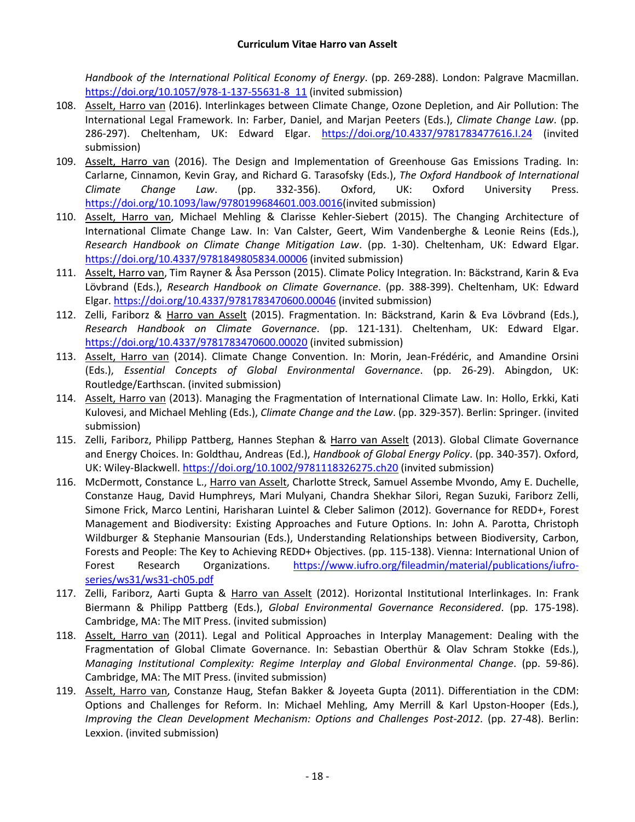*Handbook of the International Political Economy of Energy*. (pp. 269-288). London: Palgrave Macmillan. [https://doi.org/10.1057/978-1-137-55631-8\\_11](https://doi.org/10.1057/978-1-137-55631-8_11) (invited submission)

- 108. Asselt, Harro van (2016). Interlinkages between Climate Change, Ozone Depletion, and Air Pollution: The International Legal Framework. In: Farber, Daniel, and Marjan Peeters (Eds.), *Climate Change Law*. (pp. 286-297). Cheltenham, UK: Edward Elgar. <https://doi.org/10.4337/9781783477616.I.24> (invited submission)
- 109. Asselt, Harro van (2016). The Design and Implementation of Greenhouse Gas Emissions Trading. In: Carlarne, Cinnamon, Kevin Gray, and Richard G. Tarasofsky (Eds.), *The Oxford Handbook of International Climate Change Law*. (pp. 332-356). Oxford, UK: Oxford University Press. [https://doi.org/10.1093/law/9780199684601.003.0016\(](https://doi.org/10.1093/law/9780199684601.003.0016)invited submission)
- 110. Asselt, Harro van, Michael Mehling & Clarisse Kehler-Siebert (2015). The Changing Architecture of International Climate Change Law. In: Van Calster, Geert, Wim Vandenberghe & Leonie Reins (Eds.), *Research Handbook on Climate Change Mitigation Law*. (pp. 1-30). Cheltenham, UK: Edward Elgar. <https://doi.org/10.4337/9781849805834.00006> (invited submission)
- 111. Asselt, Harro van, Tim Rayner & Åsa Persson (2015). Climate Policy Integration. In: Bäckstrand, Karin & Eva Lövbrand (Eds.), *Research Handbook on Climate Governance*. (pp. 388-399). Cheltenham, UK: Edward Elgar. <https://doi.org/10.4337/9781783470600.00046> (invited submission)
- 112. Zelli, Fariborz & Harro van Asselt (2015). Fragmentation. In: Bäckstrand, Karin & Eva Lövbrand (Eds.), *Research Handbook on Climate Governance*. (pp. 121-131). Cheltenham, UK: Edward Elgar. <https://doi.org/10.4337/9781783470600.00020> (invited submission)
- 113. Asselt, Harro van (2014). Climate Change Convention. In: Morin, Jean-Frédéric, and Amandine Orsini (Eds.), *Essential Concepts of Global Environmental Governance*. (pp. 26-29). Abingdon, UK: Routledge/Earthscan. (invited submission)
- 114. Asselt, Harro van (2013). Managing the Fragmentation of International Climate Law. In: Hollo, Erkki, Kati Kulovesi, and Michael Mehling (Eds.), *Climate Change and the Law*. (pp. 329-357). Berlin: Springer. (invited submission)
- 115. Zelli, Fariborz, Philipp Pattberg, Hannes Stephan & Harro van Asselt (2013). Global Climate Governance and Energy Choices. In: Goldthau, Andreas (Ed.), *Handbook of Global Energy Policy*. (pp. 340-357). Oxford, UK: Wiley-Blackwell. <https://doi.org/10.1002/9781118326275.ch20> (invited submission)
- 116. McDermott, Constance L., Harro van Asselt, Charlotte Streck, Samuel Assembe Mvondo, Amy E. Duchelle, Constanze Haug, David Humphreys, Mari Mulyani, Chandra Shekhar Silori, Regan Suzuki, Fariborz Zelli, Simone Frick, Marco Lentini, Harisharan Luintel & Cleber Salimon (2012). Governance for REDD+, Forest Management and Biodiversity: Existing Approaches and Future Options. In: John A. Parotta, Christoph Wildburger & Stephanie Mansourian (Eds.), Understanding Relationships between Biodiversity, Carbon, Forests and People: The Key to Achieving REDD+ Objectives. (pp. 115-138). Vienna: International Union of Forest Research Organizations. [https://www.iufro.org/fileadmin/material/publications/iufro](https://www.iufro.org/fileadmin/material/publications/iufro-series/ws31/ws31-ch05.pdf)[series/ws31/ws31-ch05.pdf](https://www.iufro.org/fileadmin/material/publications/iufro-series/ws31/ws31-ch05.pdf)
- 117. Zelli, Fariborz, Aarti Gupta & Harro van Asselt (2012). Horizontal Institutional Interlinkages. In: Frank Biermann & Philipp Pattberg (Eds.), *Global Environmental Governance Reconsidered*. (pp. 175-198). Cambridge, MA: The MIT Press. (invited submission)
- 118. Asselt, Harro van (2011). Legal and Political Approaches in Interplay Management: Dealing with the Fragmentation of Global Climate Governance. In: Sebastian Oberthür & Olav Schram Stokke (Eds.), *Managing Institutional Complexity: Regime Interplay and Global Environmental Change*. (pp. 59-86). Cambridge, MA: The MIT Press. (invited submission)
- 119. Asselt, Harro van, Constanze Haug, Stefan Bakker & Joyeeta Gupta (2011). Differentiation in the CDM: Options and Challenges for Reform. In: Michael Mehling, Amy Merrill & Karl Upston-Hooper (Eds.), *Improving the Clean Development Mechanism: Options and Challenges Post-2012*. (pp. 27-48). Berlin: Lexxion. (invited submission)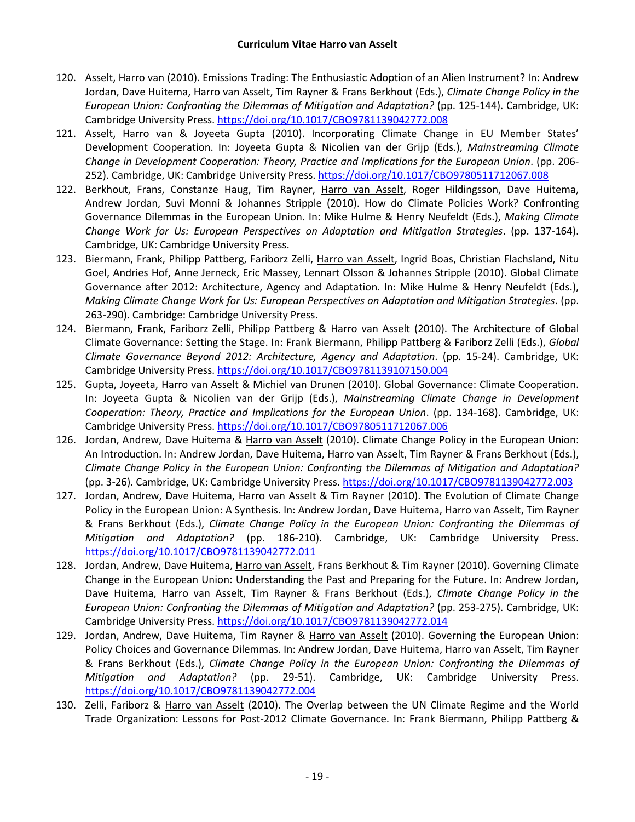- 120. Asselt, Harro van (2010). Emissions Trading: The Enthusiastic Adoption of an Alien Instrument? In: Andrew Jordan, Dave Huitema, Harro van Asselt, Tim Rayner & Frans Berkhout (Eds.), *Climate Change Policy in the European Union: Confronting the Dilemmas of Mitigation and Adaptation?* (pp. 125-144). Cambridge, UK: Cambridge University Press. <https://doi.org/10.1017/CBO9781139042772.008>
- 121. Asselt, Harro van & Joyeeta Gupta (2010). Incorporating Climate Change in EU Member States' Development Cooperation. In: Joyeeta Gupta & Nicolien van der Grijp (Eds.), *Mainstreaming Climate Change in Development Cooperation: Theory, Practice and Implications for the European Union*. (pp. 206- 252). Cambridge, UK: Cambridge University Press. <https://doi.org/10.1017/CBO9780511712067.008>
- 122. Berkhout, Frans, Constanze Haug, Tim Rayner, Harro van Asselt, Roger Hildingsson, Dave Huitema, Andrew Jordan, Suvi Monni & Johannes Stripple (2010). How do Climate Policies Work? Confronting Governance Dilemmas in the European Union. In: Mike Hulme & Henry Neufeldt (Eds.), *Making Climate Change Work for Us: European Perspectives on Adaptation and Mitigation Strategies*. (pp. 137-164). Cambridge, UK: Cambridge University Press.
- 123. Biermann, Frank, Philipp Pattberg, Fariborz Zelli, Harro van Asselt, Ingrid Boas, Christian Flachsland, Nitu Goel, Andries Hof, Anne Jerneck, Eric Massey, Lennart Olsson & Johannes Stripple (2010). Global Climate Governance after 2012: Architecture, Agency and Adaptation. In: Mike Hulme & Henry Neufeldt (Eds.), *Making Climate Change Work for Us: European Perspectives on Adaptation and Mitigation Strategies*. (pp. 263-290). Cambridge: Cambridge University Press.
- 124. Biermann, Frank, Fariborz Zelli, Philipp Pattberg & Harro van Asselt (2010). The Architecture of Global Climate Governance: Setting the Stage. In: Frank Biermann, Philipp Pattberg & Fariborz Zelli (Eds.), *Global Climate Governance Beyond 2012: Architecture, Agency and Adaptation*. (pp. 15-24). Cambridge, UK: Cambridge University Press. <https://doi.org/10.1017/CBO9781139107150.004>
- 125. Gupta, Joyeeta, Harro van Asselt & Michiel van Drunen (2010). Global Governance: Climate Cooperation. In: Joyeeta Gupta & Nicolien van der Grijp (Eds.), *Mainstreaming Climate Change in Development Cooperation: Theory, Practice and Implications for the European Union*. (pp. 134-168). Cambridge, UK: Cambridge University Press. <https://doi.org/10.1017/CBO9780511712067.006>
- 126. Jordan, Andrew, Dave Huitema & Harro van Asselt (2010). Climate Change Policy in the European Union: An Introduction. In: Andrew Jordan, Dave Huitema, Harro van Asselt, Tim Rayner & Frans Berkhout (Eds.), *Climate Change Policy in the European Union: Confronting the Dilemmas of Mitigation and Adaptation?* (pp. 3-26). Cambridge, UK: Cambridge University Press. <https://doi.org/10.1017/CBO9781139042772.003>
- 127. Jordan, Andrew, Dave Huitema, Harro van Asselt & Tim Rayner (2010). The Evolution of Climate Change Policy in the European Union: A Synthesis. In: Andrew Jordan, Dave Huitema, Harro van Asselt, Tim Rayner & Frans Berkhout (Eds.), *Climate Change Policy in the European Union: Confronting the Dilemmas of Mitigation and Adaptation?* (pp. 186-210). Cambridge, UK: Cambridge University Press. <https://doi.org/10.1017/CBO9781139042772.011>
- 128. Jordan, Andrew, Dave Huitema, Harro van Asselt, Frans Berkhout & Tim Rayner (2010). Governing Climate Change in the European Union: Understanding the Past and Preparing for the Future. In: Andrew Jordan, Dave Huitema, Harro van Asselt, Tim Rayner & Frans Berkhout (Eds.), *Climate Change Policy in the European Union: Confronting the Dilemmas of Mitigation and Adaptation?* (pp. 253-275). Cambridge, UK: Cambridge University Press. <https://doi.org/10.1017/CBO9781139042772.014>
- 129. Jordan, Andrew, Dave Huitema, Tim Rayner & Harro van Asselt (2010). Governing the European Union: Policy Choices and Governance Dilemmas. In: Andrew Jordan, Dave Huitema, Harro van Asselt, Tim Rayner & Frans Berkhout (Eds.), *Climate Change Policy in the European Union: Confronting the Dilemmas of Mitigation and Adaptation?* (pp. 29-51). Cambridge, UK: Cambridge University Press. <https://doi.org/10.1017/CBO9781139042772.004>
- 130. Zelli, Fariborz & Harro van Asselt (2010). The Overlap between the UN Climate Regime and the World Trade Organization: Lessons for Post-2012 Climate Governance. In: Frank Biermann, Philipp Pattberg &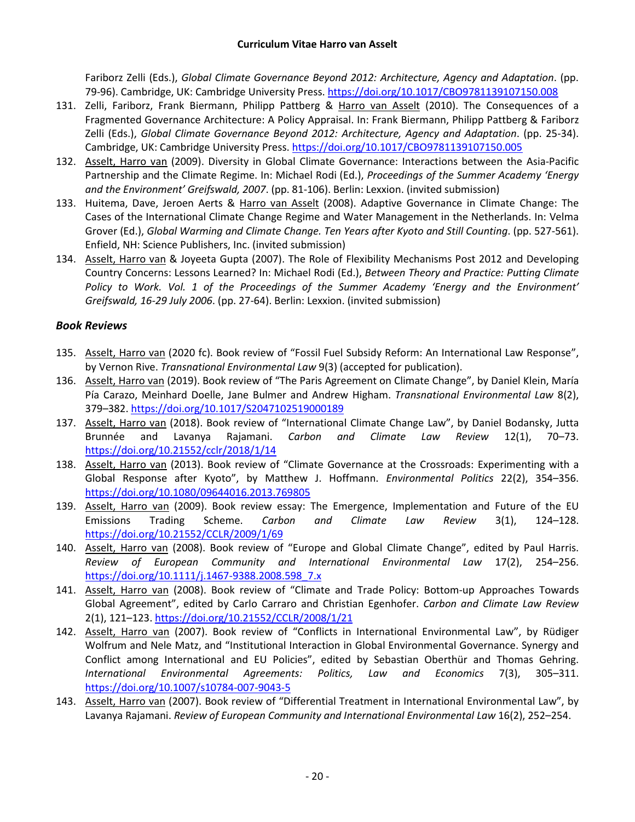Fariborz Zelli (Eds.), *Global Climate Governance Beyond 2012: Architecture, Agency and Adaptation*. (pp. 79-96). Cambridge, UK: Cambridge University Press. <https://doi.org/10.1017/CBO9781139107150.008>

- 131. Zelli, Fariborz, Frank Biermann, Philipp Pattberg & Harro van Asselt (2010). The Consequences of a Fragmented Governance Architecture: A Policy Appraisal. In: Frank Biermann, Philipp Pattberg & Fariborz Zelli (Eds.), *Global Climate Governance Beyond 2012: Architecture, Agency and Adaptation*. (pp. 25-34). Cambridge, UK: Cambridge University Press. <https://doi.org/10.1017/CBO9781139107150.005>
- 132. Asselt, Harro van (2009). Diversity in Global Climate Governance: Interactions between the Asia-Pacific Partnership and the Climate Regime. In: Michael Rodi (Ed.), *Proceedings of the Summer Academy 'Energy and the Environment' Greifswald, 2007*. (pp. 81-106). Berlin: Lexxion. (invited submission)
- 133. Huitema, Dave, Jeroen Aerts & Harro van Asselt (2008). Adaptive Governance in Climate Change: The Cases of the International Climate Change Regime and Water Management in the Netherlands. In: Velma Grover (Ed.), *Global Warming and Climate Change. Ten Years after Kyoto and Still Counting*. (pp. 527-561). Enfield, NH: Science Publishers, Inc. (invited submission)
- 134. Asselt, Harro van & Joyeeta Gupta (2007). The Role of Flexibility Mechanisms Post 2012 and Developing Country Concerns: Lessons Learned? In: Michael Rodi (Ed.), *Between Theory and Practice: Putting Climate Policy to Work. Vol. 1 of the Proceedings of the Summer Academy 'Energy and the Environment' Greifswald, 16-29 July 2006*. (pp. 27-64). Berlin: Lexxion. (invited submission)

### *Book Reviews*

- 135. Asselt, Harro van (2020 fc). Book review of "Fossil Fuel Subsidy Reform: An International Law Response", by Vernon Rive. *Transnational Environmental Law* 9(3) (accepted for publication).
- 136. Asselt, Harro van (2019). Book review of "The Paris Agreement on Climate Change", by Daniel Klein, María Pía Carazo, Meinhard Doelle, Jane Bulmer and Andrew Higham. *Transnational Environmental Law* 8(2), 379–382. <https://doi.org/10.1017/S2047102519000189>
- 137. Asselt, Harro van (2018). Book review of "International Climate Change Law", by Daniel Bodansky, Jutta Brunnée and Lavanya Rajamani. *Carbon and Climate Law Review* 12(1), 70–73. <https://doi.org/10.21552/cclr/2018/1/14>
- 138. Asselt, Harro van (2013). Book review of "Climate Governance at the Crossroads: Experimenting with a Global Response after Kyoto", by Matthew J. Hoffmann. *Environmental Politics* 22(2), 354–356. <https://doi.org/10.1080/09644016.2013.769805>
- 139. Asselt, Harro van (2009). Book review essay: The Emergence, Implementation and Future of the EU Emissions Trading Scheme. *Carbon and Climate Law Review* 3(1), 124–128. <https://doi.org/10.21552/CCLR/2009/1/69>
- 140. Asselt, Harro van (2008). Book review of "Europe and Global Climate Change", edited by Paul Harris. *Review of European Community and International Environmental Law* 17(2), 254–256. [https://doi.org/10.1111/j.1467-9388.2008.598\\_7.x](https://doi.org/10.1111/j.1467-9388.2008.598_7.x)
- 141. Asselt, Harro van (2008). Book review of "Climate and Trade Policy: Bottom-up Approaches Towards Global Agreement", edited by Carlo Carraro and Christian Egenhofer. *Carbon and Climate Law Review*  2(1), 121–123. <https://doi.org/10.21552/CCLR/2008/1/21>
- 142. Asselt, Harro van (2007). Book review of "Conflicts in International Environmental Law", by Rüdiger Wolfrum and Nele Matz, and "Institutional Interaction in Global Environmental Governance. Synergy and Conflict among International and EU Policies", edited by Sebastian Oberthür and Thomas Gehring. *International Environmental Agreements: Politics, Law and Economics* 7(3), 305–311. <https://doi.org/10.1007/s10784-007-9043-5>
- 143. Asselt, Harro van (2007). Book review of "Differential Treatment in International Environmental Law", by Lavanya Rajamani. *Review of European Community and International Environmental Law* 16(2), 252–254.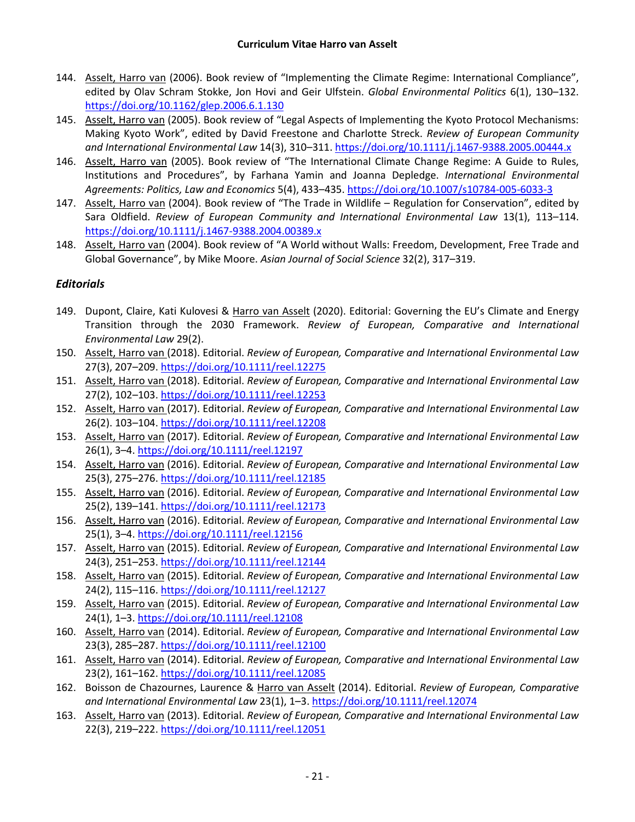- 144. Asselt, Harro van (2006). Book review of "Implementing the Climate Regime: International Compliance", edited by Olav Schram Stokke, Jon Hovi and Geir Ulfstein. *Global Environmental Politics* 6(1), 130–132. <https://doi.org/10.1162/glep.2006.6.1.130>
- 145. Asselt, Harro van (2005). Book review of "Legal Aspects of Implementing the Kyoto Protocol Mechanisms: Making Kyoto Work", edited by David Freestone and Charlotte Streck. *Review of European Community and International Environmental Law* 14(3), 310–311. <https://doi.org/10.1111/j.1467-9388.2005.00444.x>
- 146. Asselt, Harro van (2005). Book review of "The International Climate Change Regime: A Guide to Rules, Institutions and Procedures", by Farhana Yamin and Joanna Depledge. *International Environmental Agreements: Politics, Law and Economics* 5(4), 433–435. <https://doi.org/10.1007/s10784-005-6033-3>
- 147. Asselt, Harro van (2004). Book review of "The Trade in Wildlife Regulation for Conservation", edited by Sara Oldfield. *Review of European Community and International Environmental Law* 13(1), 113–114. <https://doi.org/10.1111/j.1467-9388.2004.00389.x>
- 148. Asselt, Harro van (2004). Book review of "A World without Walls: Freedom, Development, Free Trade and Global Governance", by Mike Moore. *Asian Journal of Social Science* 32(2), 317–319.

### *Editorials*

- 149. Dupont, Claire, Kati Kulovesi & Harro van Asselt (2020). Editorial: Governing the EU's Climate and Energy Transition through the 2030 Framework. *Review of European, Comparative and International Environmental Law* 29(2).
- 150. Asselt, Harro van (2018). Editorial. *Review of European, Comparative and International Environmental Law*  27(3), 207–209. <https://doi.org/10.1111/reel.12275>
- 151. Asselt, Harro van (2018). Editorial. *Review of European, Comparative and International Environmental Law*  27(2), 102–103. <https://doi.org/10.1111/reel.12253>
- 152. Asselt, Harro van (2017). Editorial. *Review of European, Comparative and International Environmental Law*  26(2). 103–104. <https://doi.org/10.1111/reel.12208>
- 153. Asselt, Harro van (2017). Editorial. *Review of European, Comparative and International Environmental Law*  26(1), 3–4. <https://doi.org/10.1111/reel.12197>
- 154. Asselt, Harro van (2016). Editorial. *Review of European, Comparative and International Environmental Law*  25(3), 275–276. <https://doi.org/10.1111/reel.12185>
- 155. Asselt, Harro van (2016). Editorial. *Review of European, Comparative and International Environmental Law*  25(2), 139–141. <https://doi.org/10.1111/reel.12173>
- 156. Asselt, Harro van (2016). Editorial. *Review of European, Comparative and International Environmental Law*  25(1), 3–4. <https://doi.org/10.1111/reel.12156>
- 157. Asselt, Harro van (2015). Editorial. *Review of European, Comparative and International Environmental Law* 24(3), 251–253. <https://doi.org/10.1111/reel.12144>
- 158. Asselt, Harro van (2015). Editorial. *Review of European, Comparative and International Environmental Law*  24(2), 115–116. <https://doi.org/10.1111/reel.12127>
- 159. Asselt, Harro van (2015). Editorial. *Review of European, Comparative and International Environmental Law*  24(1), 1–3. <https://doi.org/10.1111/reel.12108>
- 160. Asselt, Harro van (2014). Editorial. *Review of European, Comparative and International Environmental Law*  23(3), 285–287. <https://doi.org/10.1111/reel.12100>
- 161. Asselt, Harro van (2014). Editorial. *Review of European, Comparative and International Environmental Law*  23(2), 161–162. <https://doi.org/10.1111/reel.12085>
- 162. Boisson de Chazournes, Laurence & Harro van Asselt (2014). Editorial. *Review of European, Comparative and International Environmental Law* 23(1), 1–3. <https://doi.org/10.1111/reel.12074>
- 163. Asselt, Harro van (2013). Editorial. *Review of European, Comparative and International Environmental Law*  22(3), 219–222. <https://doi.org/10.1111/reel.12051>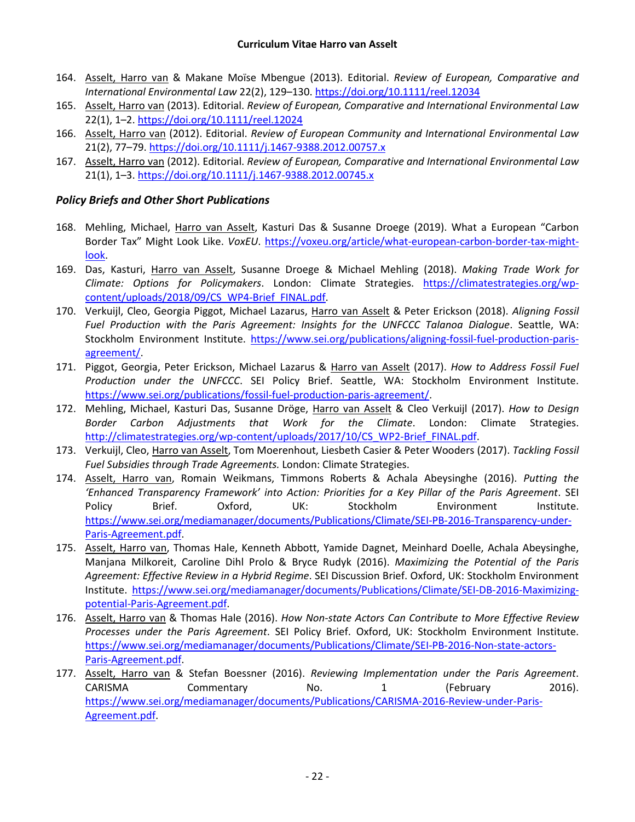- 164. Asselt, Harro van & Makane Moïse Mbengue (2013). Editorial. *Review of European, Comparative and International Environmental Law* 22(2), 129–130. <https://doi.org/10.1111/reel.12034>
- 165. Asselt, Harro van (2013). Editorial. *Review of European, Comparative and International Environmental Law*  22(1), 1–2. <https://doi.org/10.1111/reel.12024>
- 166. Asselt, Harro van (2012). Editorial. *Review of European Community and International Environmental Law*  21(2), 77–79. <https://doi.org/10.1111/j.1467-9388.2012.00757.x>
- 167. Asselt, Harro van (2012). Editorial. *Review of European, Comparative and International Environmental Law*  21(1), 1–3. <https://doi.org/10.1111/j.1467-9388.2012.00745.x>

### *Policy Briefs and Other Short Publications*

- 168. Mehling, Michael, Harro van Asselt, Kasturi Das & Susanne Droege (2019). What a European "Carbon Border Tax" Might Look Like. *VoxEU*. [https://voxeu.org/article/what-european-carbon-border-tax-might](https://voxeu.org/article/what-european-carbon-border-tax-might-look)[look.](https://voxeu.org/article/what-european-carbon-border-tax-might-look)
- 169. Das, Kasturi, Harro van Asselt, Susanne Droege & Michael Mehling (2018). *Making Trade Work for Climate: Options for Policymakers*. London: Climate Strategies. [https://climatestrategies.org/wp](https://climatestrategies.org/wp-content/uploads/2018/09/CS_WP4-Brief_FINAL.pdf)[content/uploads/2018/09/CS\\_WP4-Brief\\_FINAL.pdf.](https://climatestrategies.org/wp-content/uploads/2018/09/CS_WP4-Brief_FINAL.pdf)
- 170. Verkuijl, Cleo, Georgia Piggot, Michael Lazarus, Harro van Asselt & Peter Erickson (2018). *Aligning Fossil Fuel Production with the Paris Agreement: Insights for the UNFCCC Talanoa Dialogue*. Seattle, WA: Stockholm Environment Institute. [https://www.sei.org/publications/aligning-fossil-fuel-production-paris](https://www.sei.org/publications/aligning-fossil-fuel-production-paris-agreement/)[agreement/.](https://www.sei.org/publications/aligning-fossil-fuel-production-paris-agreement/)
- 171. Piggot, Georgia, Peter Erickson, Michael Lazarus & Harro van Asselt (2017). *How to Address Fossil Fuel Production under the UNFCCC*. SEI Policy Brief. Seattle, WA: Stockholm Environment Institute. [https://www.sei.org/publications/fossil-fuel-production-paris-agreement/.](https://www.sei.org/publications/fossil-fuel-production-paris-agreement/)
- 172. Mehling, Michael, Kasturi Das, Susanne Dröge, Harro van Asselt & Cleo Verkuijl (2017). *How to Design Border Carbon Adjustments that Work for the Climate*. London: Climate Strategies. [http://climatestrategies.org/wp-content/uploads/2017/10/CS\\_WP2-Brief\\_FINAL.pdf.](http://climatestrategies.org/wp-content/uploads/2017/10/CS_WP2-Brief_FINAL.pdf)
- 173. Verkuijl, Cleo, Harro van Asselt, Tom Moerenhout, Liesbeth Casier & Peter Wooders (2017). *Tackling Fossil Fuel Subsidies through Trade Agreements.* London: Climate Strategies.
- 174. Asselt, Harro van, Romain Weikmans, Timmons Roberts & Achala Abeysinghe (2016). *Putting the 'Enhanced Transparency Framework' into Action: Priorities for a Key Pillar of the Paris Agreement*. SEI Policy Brief. Oxford, UK: Stockholm Environment Institute. [https://www.sei.org/mediamanager/documents/Publications/Climate/SEI-PB-2016-Transparency-under-](https://www.sei.org/mediamanager/documents/Publications/Climate/SEI-PB-2016-Transparency-under-Paris-Agreement.pdf)[Paris-Agreement.pdf.](https://www.sei.org/mediamanager/documents/Publications/Climate/SEI-PB-2016-Transparency-under-Paris-Agreement.pdf)
- 175. Asselt, Harro van, Thomas Hale, Kenneth Abbott, Yamide Dagnet, Meinhard Doelle, Achala Abeysinghe, Manjana Milkoreit, Caroline Dihl Prolo & Bryce Rudyk (2016). *Maximizing the Potential of the Paris Agreement: Effective Review in a Hybrid Regime*. SEI Discussion Brief. Oxford, UK: Stockholm Environment Institute. [https://www.sei.org/mediamanager/documents/Publications/Climate/SEI-DB-2016-Maximizing](https://www.sei.org/mediamanager/documents/Publications/Climate/SEI-DB-2016-Maximizing-potential-Paris-Agreement.pdf)[potential-Paris-Agreement.pdf.](https://www.sei.org/mediamanager/documents/Publications/Climate/SEI-DB-2016-Maximizing-potential-Paris-Agreement.pdf)
- 176. Asselt, Harro van & Thomas Hale (2016). *How Non-state Actors Can Contribute to More Effective Review Processes under the Paris Agreement*. SEI Policy Brief. Oxford, UK: Stockholm Environment Institute. [https://www.sei.org/mediamanager/documents/Publications/Climate/SEI-PB-2016-Non-state-actors-](https://www.sei.org/mediamanager/documents/Publications/Climate/SEI-PB-2016-Non-state-actors-Paris-Agreement.pdf)[Paris-Agreement.pdf.](https://www.sei.org/mediamanager/documents/Publications/Climate/SEI-PB-2016-Non-state-actors-Paris-Agreement.pdf)
- 177. Asselt, Harro van & Stefan Boessner (2016). *Reviewing Implementation under the Paris Agreement*. CARISMA Commentary No. 1 (February 2016). [https://www.sei.org/mediamanager/documents/Publications/CARISMA-2016-Review-under-Paris-](https://www.sei.org/mediamanager/documents/Publications/CARISMA-2016-Review-under-Paris-Agreement.pdf)[Agreement.pdf.](https://www.sei.org/mediamanager/documents/Publications/CARISMA-2016-Review-under-Paris-Agreement.pdf)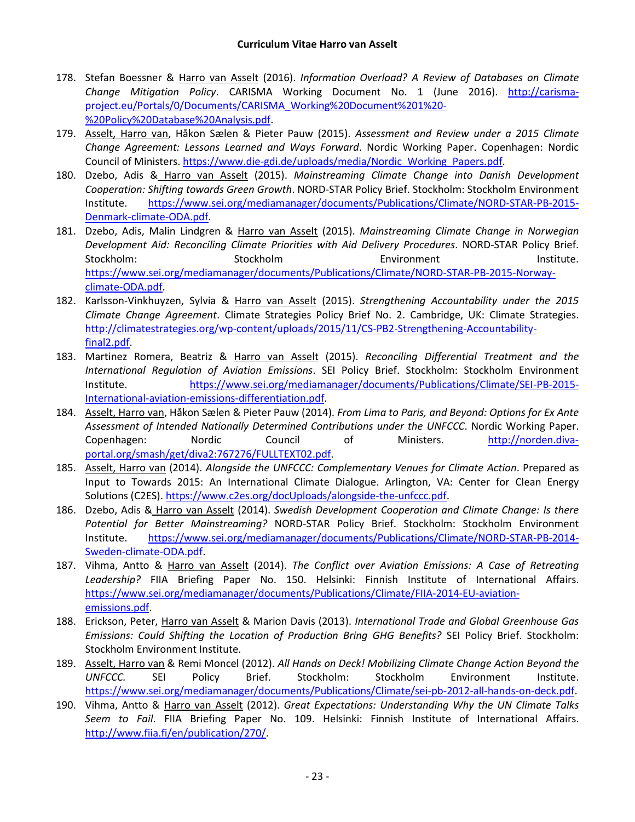- 178. Stefan Boessner & Harro van Asselt (2016). *Information Overload? A Review of Databases on Climate Change Mitigation Policy*. CARISMA Working Document No. 1 (June 2016). [http://carisma](http://carisma-project.eu/Portals/0/Documents/CARISMA_Working%20Document%201%20-%20Policy%20Database%20Analysis.pdf)[project.eu/Portals/0/Documents/CARISMA\\_Working%20Document%201%20-](http://carisma-project.eu/Portals/0/Documents/CARISMA_Working%20Document%201%20-%20Policy%20Database%20Analysis.pdf) [%20Policy%20Database%20Analysis.pdf.](http://carisma-project.eu/Portals/0/Documents/CARISMA_Working%20Document%201%20-%20Policy%20Database%20Analysis.pdf)
- 179. Asselt, Harro van, Håkon Sælen & Pieter Pauw (2015). *Assessment and Review under a 2015 Climate Change Agreement: Lessons Learned and Ways Forward*. Nordic Working Paper. Copenhagen: Nordic Council of Ministers. [https://www.die-gdi.de/uploads/media/Nordic\\_Working\\_Papers.pdf.](https://www.die-gdi.de/uploads/media/Nordic_Working_Papers.pdf)
- 180. Dzebo, Adis & Harro van Asselt (2015). *Mainstreaming Climate Change into Danish Development Cooperation: Shifting towards Green Growth*. NORD-STAR Policy Brief. Stockholm: Stockholm Environment Institute. [https://www.sei.org/mediamanager/documents/Publications/Climate/NORD-STAR-PB-2015-](https://www.sei.org/mediamanager/documents/Publications/Climate/NORD-STAR-PB-2015-Denmark-climate-ODA.pdf) [Denmark-climate-ODA.pdf.](https://www.sei.org/mediamanager/documents/Publications/Climate/NORD-STAR-PB-2015-Denmark-climate-ODA.pdf)
- 181. Dzebo, Adis, Malin Lindgren & Harro van Asselt (2015). *Mainstreaming Climate Change in Norwegian Development Aid: Reconciling Climate Priorities with Aid Delivery Procedures*. NORD-STAR Policy Brief. Stockholm: Stockholm Environment Institute. [https://www.sei.org/mediamanager/documents/Publications/Climate/NORD-STAR-PB-2015-Norway](https://www.sei.org/mediamanager/documents/Publications/Climate/NORD-STAR-PB-2015-Norway-climate-ODA.pdf)[climate-ODA.pdf.](https://www.sei.org/mediamanager/documents/Publications/Climate/NORD-STAR-PB-2015-Norway-climate-ODA.pdf)
- 182. Karlsson-Vinkhuyzen, Sylvia & Harro van Asselt (2015). *Strengthening Accountability under the 2015 Climate Change Agreement*. Climate Strategies Policy Brief No. 2. Cambridge, UK: Climate Strategies. [http://climatestrategies.org/wp-content/uploads/2015/11/CS-PB2-Strengthening-Accountability](http://climatestrategies.org/wp-content/uploads/2015/11/CS-PB2-Strengthening-Accountability-final2.pdf)[final2.pdf.](http://climatestrategies.org/wp-content/uploads/2015/11/CS-PB2-Strengthening-Accountability-final2.pdf)
- 183. Martinez Romera, Beatriz & Harro van Asselt (2015). *Reconciling Differential Treatment and the International Regulation of Aviation Emissions*. SEI Policy Brief. Stockholm: Stockholm Environment Institute. [https://www.sei.org/mediamanager/documents/Publications/Climate/SEI-PB-2015-](https://www.sei.org/mediamanager/documents/Publications/Climate/SEI-PB-2015-International-aviation-emissions-differentiation.pdf) [International-aviation-emissions-differentiation.pdf.](https://www.sei.org/mediamanager/documents/Publications/Climate/SEI-PB-2015-International-aviation-emissions-differentiation.pdf)
- 184. Asselt, Harro van, Håkon Sælen & Pieter Pauw (2014). *From Lima to Paris, and Beyond: Options for Ex Ante Assessment of Intended Nationally Determined Contributions under the UNFCCC*. Nordic Working Paper. Copenhagen: Nordic Council of Ministers. [http://norden.diva](http://norden.diva-portal.org/smash/get/diva2:767276/FULLTEXT02.pdf)[portal.org/smash/get/diva2:767276/FULLTEXT02.pdf.](http://norden.diva-portal.org/smash/get/diva2:767276/FULLTEXT02.pdf)
- 185. Asselt, Harro van (2014). *Alongside the UNFCCC: Complementary Venues for Climate Action*. Prepared as Input to Towards 2015: An International Climate Dialogue. Arlington, VA: Center for Clean Energy Solutions (C2ES). [https://www.c2es.org/docUploads/alongside-the-unfccc.pdf.](https://www.c2es.org/docUploads/alongside-the-unfccc.pdf)
- 186. Dzebo, Adis & Harro van Asselt (2014). *Swedish Development Cooperation and Climate Change: Is there Potential for Better Mainstreaming?* NORD-STAR Policy Brief. Stockholm: Stockholm Environment Institute. [https://www.sei.org/mediamanager/documents/Publications/Climate/NORD-STAR-PB-2014-](https://www.sei.org/mediamanager/documents/Publications/Climate/NORD-STAR-PB-2014-Sweden-climate-ODA.pdf) [Sweden-climate-ODA.pdf.](https://www.sei.org/mediamanager/documents/Publications/Climate/NORD-STAR-PB-2014-Sweden-climate-ODA.pdf)
- 187. Vihma, Antto & Harro van Asselt (2014). *The Conflict over Aviation Emissions: A Case of Retreating Leadership?* FIIA Briefing Paper No. 150. Helsinki: Finnish Institute of International Affairs. [https://www.sei.org/mediamanager/documents/Publications/Climate/FIIA-2014-EU-aviation](https://www.sei.org/mediamanager/documents/Publications/Climate/FIIA-2014-EU-aviation-emissions.pdf)[emissions.pdf.](https://www.sei.org/mediamanager/documents/Publications/Climate/FIIA-2014-EU-aviation-emissions.pdf)
- 188. Erickson, Peter, Harro van Asselt & Marion Davis (2013). *International Trade and Global Greenhouse Gas Emissions: Could Shifting the Location of Production Bring GHG Benefits?* SEI Policy Brief. Stockholm: Stockholm Environment Institute.
- 189. Asselt, Harro van & Remi Moncel (2012). *All Hands on Deck! Mobilizing Climate Change Action Beyond the UNFCCC.* SEI Policy Brief. Stockholm: Stockholm Environment Institute. [https://www.sei.org/mediamanager/documents/Publications/Climate/sei-pb-2012-all-hands-on-deck.pdf.](https://www.sei.org/mediamanager/documents/Publications/Climate/sei-pb-2012-all-hands-on-deck.pdf)
- 190. Vihma, Antto & Harro van Asselt (2012). *Great Expectations: Understanding Why the UN Climate Talks Seem to Fail*. FIIA Briefing Paper No. 109. Helsinki: Finnish Institute of International Affairs. [http://www.fiia.fi/en/publication/270/.](http://www.fiia.fi/en/publication/270/)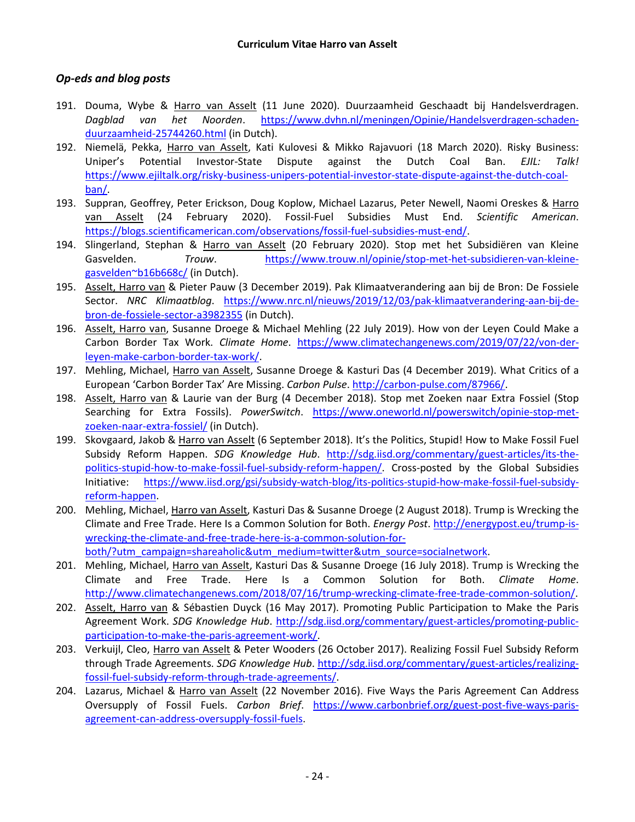### *Op-eds and blog posts*

- 191. Douma, Wybe & Harro van Asselt (11 June 2020). Duurzaamheid Geschaadt bij Handelsverdragen. *Dagblad van het Noorden*. [https://www.dvhn.nl/meningen/Opinie/Handelsverdragen-schaden](https://www.dvhn.nl/meningen/Opinie/Handelsverdragen-schaden-duurzaamheid-25744260.html)[duurzaamheid-25744260.html](https://www.dvhn.nl/meningen/Opinie/Handelsverdragen-schaden-duurzaamheid-25744260.html) (in Dutch).
- 192. Niemelä, Pekka, Harro van Asselt, Kati Kulovesi & Mikko Rajavuori (18 March 2020). Risky Business: Uniper's Potential Investor-State Dispute against the Dutch Coal Ban. *EJIL: Talk!*  [https://www.ejiltalk.org/risky-business-unipers-potential-investor-state-dispute-against-the-dutch-coal](https://www.ejiltalk.org/risky-business-unipers-potential-investor-state-dispute-against-the-dutch-coal-ban/)[ban/.](https://www.ejiltalk.org/risky-business-unipers-potential-investor-state-dispute-against-the-dutch-coal-ban/)
- 193. Suppran, Geoffrey, Peter Erickson, Doug Koplow, Michael Lazarus, Peter Newell, Naomi Oreskes & Harro van Asselt (24 February 2020). Fossil-Fuel Subsidies Must End. *Scientific American*. [https://blogs.scientificamerican.com/observations/fossil-fuel-subsidies-must-end/.](https://blogs.scientificamerican.com/observations/fossil-fuel-subsidies-must-end/)
- 194. Slingerland, Stephan & Harro van Asselt (20 February 2020). Stop met het Subsidiëren van Kleine Gasvelden. *Trouw*. [https://www.trouw.nl/opinie/stop-met-het-subsidieren-van-kleine](https://www.trouw.nl/opinie/stop-met-het-subsidieren-van-kleine-gasvelden~b16b668c/)[gasvelden~b16b668c/](https://www.trouw.nl/opinie/stop-met-het-subsidieren-van-kleine-gasvelden~b16b668c/) (in Dutch).
- 195. Asselt, Harro van & Pieter Pauw (3 December 2019). Pak Klimaatverandering aan bij de Bron: De Fossiele Sector. *NRC Klimaatblog*. [https://www.nrc.nl/nieuws/2019/12/03/pak-klimaatverandering-aan-bij-de](https://www.nrc.nl/nieuws/2019/12/03/pak-klimaatverandering-aan-bij-de-bron-de-fossiele-sector-a3982355)[bron-de-fossiele-sector-a3982355](https://www.nrc.nl/nieuws/2019/12/03/pak-klimaatverandering-aan-bij-de-bron-de-fossiele-sector-a3982355) (in Dutch).
- 196. Asselt, Harro van, Susanne Droege & Michael Mehling (22 July 2019). How von der Leyen Could Make a Carbon Border Tax Work. *Climate Home*. [https://www.climatechangenews.com/2019/07/22/von-der](https://www.climatechangenews.com/2019/07/22/von-der-leyen-make-carbon-border-tax-work/)[leyen-make-carbon-border-tax-work/.](https://www.climatechangenews.com/2019/07/22/von-der-leyen-make-carbon-border-tax-work/)
- 197. Mehling, Michael, Harro van Asselt, Susanne Droege & Kasturi Das (4 December 2019). What Critics of a European 'Carbon Border Tax' Are Missing. *Carbon Pulse*. [http://carbon-pulse.com/87966/.](http://carbon-pulse.com/87966/)
- 198. Asselt, Harro van & Laurie van der Burg (4 December 2018). Stop met Zoeken naar Extra Fossiel (Stop Searching for Extra Fossils). *PowerSwitch*. [https://www.oneworld.nl/powerswitch/opinie-stop-met](https://www.oneworld.nl/powerswitch/opinie-stop-met-zoeken-naar-extra-fossiel/)[zoeken-naar-extra-fossiel/](https://www.oneworld.nl/powerswitch/opinie-stop-met-zoeken-naar-extra-fossiel/) (in Dutch).
- 199. Skovgaard, Jakob & Harro van Asselt (6 September 2018). It's the Politics, Stupid! How to Make Fossil Fuel Subsidy Reform Happen. *SDG Knowledge Hub*. [http://sdg.iisd.org/commentary/guest-articles/its-the](http://sdg.iisd.org/commentary/guest-articles/its-the-politics-stupid-how-to-make-fossil-fuel-subsidy-reform-happen/)[politics-stupid-how-to-make-fossil-fuel-subsidy-reform-happen/.](http://sdg.iisd.org/commentary/guest-articles/its-the-politics-stupid-how-to-make-fossil-fuel-subsidy-reform-happen/) Cross-posted by the Global Subsidies Initiative: [https://www.iisd.org/gsi/subsidy-watch-blog/its-politics-stupid-how-make-fossil-fuel-subsidy](https://www.iisd.org/gsi/subsidy-watch-blog/its-politics-stupid-how-make-fossil-fuel-subsidy-reform-happen)[reform-happen.](https://www.iisd.org/gsi/subsidy-watch-blog/its-politics-stupid-how-make-fossil-fuel-subsidy-reform-happen)
- 200. Mehling, Michael, Harro van Asselt, Kasturi Das & Susanne Droege (2 August 2018). Trump is Wrecking the Climate and Free Trade. Here Is a Common Solution for Both. *Energy Post*. [http://energypost.eu/trump-is](http://energypost.eu/trump-is-wrecking-the-climate-and-free-trade-here-is-a-common-solution-for-both/?utm_campaign=shareaholic&utm_medium=twitter&utm_source=socialnetwork)[wrecking-the-climate-and-free-trade-here-is-a-common-solution-for](http://energypost.eu/trump-is-wrecking-the-climate-and-free-trade-here-is-a-common-solution-for-both/?utm_campaign=shareaholic&utm_medium=twitter&utm_source=socialnetwork)[both/?utm\\_campaign=shareaholic&utm\\_medium=twitter&utm\\_source=socialnetwork.](http://energypost.eu/trump-is-wrecking-the-climate-and-free-trade-here-is-a-common-solution-for-both/?utm_campaign=shareaholic&utm_medium=twitter&utm_source=socialnetwork)
- 201. Mehling, Michael, Harro van Asselt, Kasturi Das & Susanne Droege (16 July 2018). Trump is Wrecking the Climate and Free Trade. Here Is a Common Solution for Both. *Climate Home*. [http://www.climatechangenews.com/2018/07/16/trump-wrecking-climate-free-trade-common-solution/.](http://www.climatechangenews.com/2018/07/16/trump-wrecking-climate-free-trade-common-solution/)
- 202. Asselt, Harro van & Sébastien Duyck (16 May 2017). Promoting Public Participation to Make the Paris Agreement Work. *SDG Knowledge Hub*. [http://sdg.iisd.org/commentary/guest-articles/promoting-public](http://sdg.iisd.org/commentary/guest-articles/promoting-public-participation-to-make-the-paris-agreement-work/)[participation-to-make-the-paris-agreement-work/.](http://sdg.iisd.org/commentary/guest-articles/promoting-public-participation-to-make-the-paris-agreement-work/)
- 203. Verkuijl, Cleo, Harro van Asselt & Peter Wooders (26 October 2017). Realizing Fossil Fuel Subsidy Reform through Trade Agreements. *SDG Knowledge Hub*. [http://sdg.iisd.org/commentary/guest-articles/realizing](http://sdg.iisd.org/commentary/guest-articles/realizing-fossil-fuel-subsidy-reform-through-trade-agreements/)[fossil-fuel-subsidy-reform-through-trade-agreements/.](http://sdg.iisd.org/commentary/guest-articles/realizing-fossil-fuel-subsidy-reform-through-trade-agreements/)
- 204. Lazarus, Michael & Harro van Asselt (22 November 2016). Five Ways the Paris Agreement Can Address Oversupply of Fossil Fuels. *Carbon Brief*. [https://www.carbonbrief.org/guest-post-five-ways-paris](https://www.carbonbrief.org/guest-post-five-ways-paris-agreement-can-address-oversupply-fossil-fuels)[agreement-can-address-oversupply-fossil-fuels.](https://www.carbonbrief.org/guest-post-five-ways-paris-agreement-can-address-oversupply-fossil-fuels)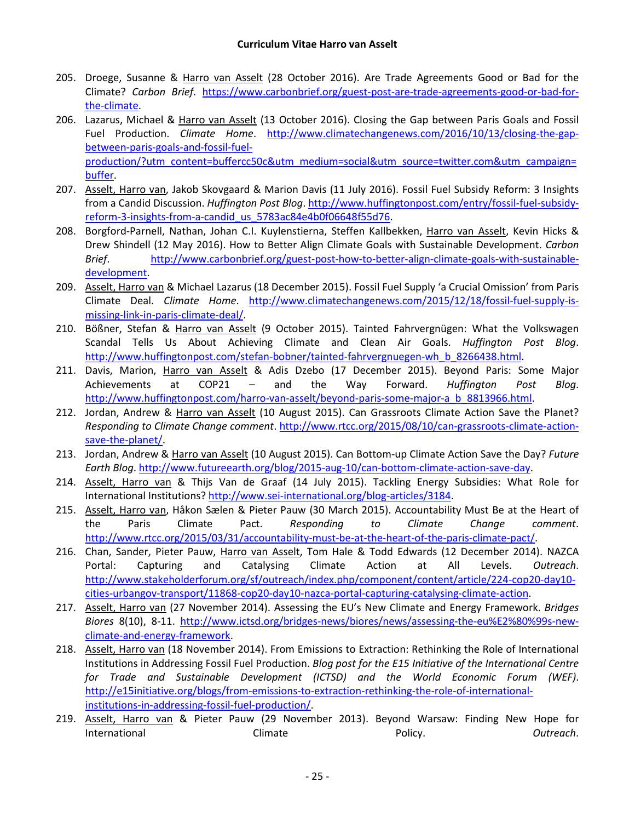- 205. Droege, Susanne & Harro van Asselt (28 October 2016). Are Trade Agreements Good or Bad for the Climate? *Carbon Brief*. [https://www.carbonbrief.org/guest-post-are-trade-agreements-good-or-bad-for](https://www.carbonbrief.org/guest-post-are-trade-agreements-good-or-bad-for-the-climate)[the-climate.](https://www.carbonbrief.org/guest-post-are-trade-agreements-good-or-bad-for-the-climate)
- 206. Lazarus, Michael & Harro van Asselt (13 October 2016). Closing the Gap between Paris Goals and Fossil Fuel Production. *Climate Home*. [http://www.climatechangenews.com/2016/10/13/closing-the-gap](http://www.climatechangenews.com/2016/10/13/closing-the-gap-between-paris-goals-and-fossil-fuel-production/?utm_content=buffercc50c&utm_medium=social&utm_source=twitter.com&utm_campaign=buffer)[between-paris-goals-and-fossil-fuel](http://www.climatechangenews.com/2016/10/13/closing-the-gap-between-paris-goals-and-fossil-fuel-production/?utm_content=buffercc50c&utm_medium=social&utm_source=twitter.com&utm_campaign=buffer)[production/?utm\\_content=buffercc50c&utm\\_medium=social&utm\\_source=twitter.com&utm\\_campaign=](http://www.climatechangenews.com/2016/10/13/closing-the-gap-between-paris-goals-and-fossil-fuel-production/?utm_content=buffercc50c&utm_medium=social&utm_source=twitter.com&utm_campaign=buffer) [buffer.](http://www.climatechangenews.com/2016/10/13/closing-the-gap-between-paris-goals-and-fossil-fuel-production/?utm_content=buffercc50c&utm_medium=social&utm_source=twitter.com&utm_campaign=buffer)
- 207. Asselt, Harro van, Jakob Skovgaard & Marion Davis (11 July 2016). Fossil Fuel Subsidy Reform: 3 Insights from a Candid Discussion. *Huffington Post Blog*. [http://www.huffingtonpost.com/entry/fossil-fuel-subsidy](http://www.huffingtonpost.com/entry/fossil-fuel-subsidy-reform-3-insights-from-a-candid_us_5783ac84e4b0f06648f55d76)[reform-3-insights-from-a-candid\\_us\\_5783ac84e4b0f06648f55d76.](http://www.huffingtonpost.com/entry/fossil-fuel-subsidy-reform-3-insights-from-a-candid_us_5783ac84e4b0f06648f55d76)
- 208. Borgford-Parnell, Nathan, Johan C.I. Kuylenstierna, Steffen Kallbekken, Harro van Asselt, Kevin Hicks & Drew Shindell (12 May 2016). How to Better Align Climate Goals with Sustainable Development. *Carbon Brief*. [http://www.carbonbrief.org/guest-post-how-to-better-align-climate-goals-with-sustainable](http://www.carbonbrief.org/guest-post-how-to-better-align-climate-goals-with-sustainable-development)[development.](http://www.carbonbrief.org/guest-post-how-to-better-align-climate-goals-with-sustainable-development)
- 209. Asselt, Harro van & Michael Lazarus (18 December 2015). Fossil Fuel Supply 'a Crucial Omission' from Paris Climate Deal. *Climate Home*. [http://www.climatechangenews.com/2015/12/18/fossil-fuel-supply-is](http://www.climatechangenews.com/2015/12/18/fossil-fuel-supply-is-missing-link-in-paris-climate-deal/)[missing-link-in-paris-climate-deal/.](http://www.climatechangenews.com/2015/12/18/fossil-fuel-supply-is-missing-link-in-paris-climate-deal/)
- 210. Bößner, Stefan & Harro van Asselt (9 October 2015). Tainted Fahrvergnügen: What the Volkswagen Scandal Tells Us About Achieving Climate and Clean Air Goals. *Huffington Post Blog*. [http://www.huffingtonpost.com/stefan-bobner/tainted-fahrvergnuegen-wh\\_b\\_8266438.html.](http://www.huffingtonpost.com/stefan-bobner/tainted-fahrvergnuegen-wh_b_8266438.html)
- 211. Davis, Marion, Harro van Asselt & Adis Dzebo (17 December 2015). Beyond Paris: Some Major Achievements at COP21 – and the Way Forward. *Huffington Post Blog*. [http://www.huffingtonpost.com/harro-van-asselt/beyond-paris-some-major-a\\_b\\_8813966.html.](http://www.huffingtonpost.com/harro-van-asselt/beyond-paris-some-major-a_b_8813966.html)
- 212. Jordan, Andrew & Harro van Asselt (10 August 2015). Can Grassroots Climate Action Save the Planet? *Responding to Climate Change comment*. [http://www.rtcc.org/2015/08/10/can-grassroots-climate-action](http://www.rtcc.org/2015/08/10/can-grassroots-climate-action-save-the-planet/)[save-the-planet/.](http://www.rtcc.org/2015/08/10/can-grassroots-climate-action-save-the-planet/)
- 213. Jordan, Andrew & Harro van Asselt (10 August 2015). Can Bottom-up Climate Action Save the Day? *Future Earth Blog*. [http://www.futureearth.org/blog/2015-aug-10/can-bottom-climate-action-save-day.](http://www.futureearth.org/blog/2015-aug-10/can-bottom-climate-action-save-day)
- 214. Asselt, Harro van & Thijs Van de Graaf (14 July 2015). Tackling Energy Subsidies: What Role for International Institutions? [http://www.sei-international.org/blog-articles/3184.](http://www.sei-international.org/blog-articles/3184)
- 215. Asselt, Harro van, Håkon Sælen & Pieter Pauw (30 March 2015). Accountability Must Be at the Heart of the Paris Climate Pact. *Responding to Climate Change comment*. [http://www.rtcc.org/2015/03/31/accountability-must-be-at-the-heart-of-the-paris-climate-pact/.](http://www.rtcc.org/2015/03/31/accountability-must-be-at-the-heart-of-the-paris-climate-pact/)
- 216. Chan, Sander, Pieter Pauw, Harro van Asselt, Tom Hale & Todd Edwards (12 December 2014). NAZCA Portal: Capturing and Catalysing Climate Action at All Levels. *Outreach*. [http://www.stakeholderforum.org/sf/outreach/index.php/component/content/article/224-cop20-day10](http://www.stakeholderforum.org/sf/outreach/index.php/component/content/article/224-cop20-day10-cities-urbangov-transport/11868-cop20-day10-nazca-portal-capturing-catalysing-climate-action) [cities-urbangov-transport/11868-cop20-day10-nazca-portal-capturing-catalysing-climate-action.](http://www.stakeholderforum.org/sf/outreach/index.php/component/content/article/224-cop20-day10-cities-urbangov-transport/11868-cop20-day10-nazca-portal-capturing-catalysing-climate-action)
- 217. Asselt, Harro van (27 November 2014). Assessing the EU's New Climate and Energy Framework. *Bridges Biores* 8(10), 8-11. [http://www.ictsd.org/bridges-news/biores/news/assessing-the-eu%E2%80%99s-new](http://www.ictsd.org/bridges-news/biores/news/assessing-the-eu%E2%80%99s-new-climate-and-energy-framework)[climate-and-energy-framework.](http://www.ictsd.org/bridges-news/biores/news/assessing-the-eu%E2%80%99s-new-climate-and-energy-framework)
- 218. Asselt, Harro van (18 November 2014). From Emissions to Extraction: Rethinking the Role of International Institutions in Addressing Fossil Fuel Production. *Blog post for the E15 Initiative of the International Centre for Trade and Sustainable Development (ICTSD) and the World Economic Forum (WEF)*. [http://e15initiative.org/blogs/from-emissions-to-extraction-rethinking-the-role-of-international](http://e15initiative.org/blogs/from-emissions-to-extraction-rethinking-the-role-of-international-institutions-in-addressing-fossil-fuel-production/)[institutions-in-addressing-fossil-fuel-production/.](http://e15initiative.org/blogs/from-emissions-to-extraction-rethinking-the-role-of-international-institutions-in-addressing-fossil-fuel-production/)
- 219. Asselt, Harro van & Pieter Pauw (29 November 2013). Beyond Warsaw: Finding New Hope for International Climate Policy. *Outreach*.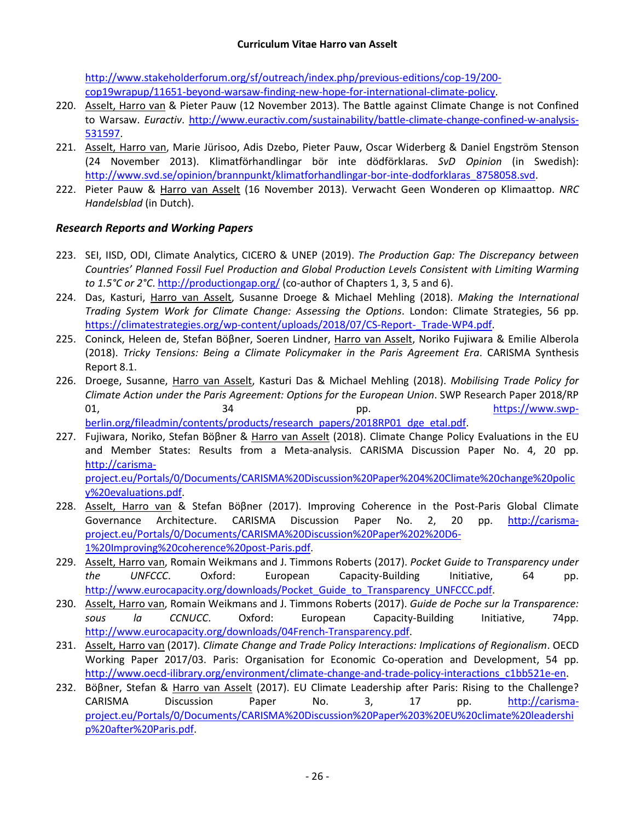[http://www.stakeholderforum.org/sf/outreach/index.php/previous-editions/cop-19/200](http://www.stakeholderforum.org/sf/outreach/index.php/previous-editions/cop-19/200-cop19wrapup/11651-beyond-warsaw-finding-new-hope-for-international-climate-policy) [cop19wrapup/11651-beyond-warsaw-finding-new-hope-for-international-climate-policy.](http://www.stakeholderforum.org/sf/outreach/index.php/previous-editions/cop-19/200-cop19wrapup/11651-beyond-warsaw-finding-new-hope-for-international-climate-policy)

- 220. Asselt, Harro van & Pieter Pauw (12 November 2013). The Battle against Climate Change is not Confined to Warsaw. *Euractiv*. [http://www.euractiv.com/sustainability/battle-climate-change-confined-w-analysis-](http://www.euractiv.com/sustainability/battle-climate-change-confined-w-analysis-531597)[531597.](http://www.euractiv.com/sustainability/battle-climate-change-confined-w-analysis-531597)
- 221. Asselt, Harro van, Marie Jürisoo, Adis Dzebo, Pieter Pauw, Oscar Widerberg & Daniel Engström Stenson (24 November 2013). Klimatförhandlingar bör inte dödförklaras. *SvD Opinion* (in Swedish): [http://www.svd.se/opinion/brannpunkt/klimatforhandlingar-bor-inte-dodforklaras\\_8758058.svd.](http://www.svd.se/opinion/brannpunkt/klimatforhandlingar-bor-inte-dodforklaras_8758058.svd)
- 222. Pieter Pauw & Harro van Asselt (16 November 2013). Verwacht Geen Wonderen op Klimaattop. *NRC Handelsblad* (in Dutch).

### *Research Reports and Working Papers*

- 223. SEI, IISD, ODI, Climate Analytics, CICERO & UNEP (2019). *The Production Gap: The Discrepancy between Countries' Planned Fossil Fuel Production and Global Production Levels Consistent with Limiting Warming to 1.5°C or 2°C*.<http://productiongap.org/> (co-author of Chapters 1, 3, 5 and 6).
- 224. Das, Kasturi, Harro van Asselt, Susanne Droege & Michael Mehling (2018). *Making the International Trading System Work for Climate Change: Assessing the Options*. London: Climate Strategies, 56 pp. https://climatestrategies.org/wp-content/uploads/2018/07/CS-Report- Trade-WP4.pdf.
- 225. Coninck, Heleen de, Stefan Böβner, Soeren Lindner, Harro van Asselt, Noriko Fujiwara & Emilie Alberola (2018). *Tricky Tensions: Being a Climate Policymaker in the Paris Agreement Era*. CARISMA Synthesis Report 8.1.
- 226. Droege, Susanne, Harro van Asselt, Kasturi Das & Michael Mehling (2018). *Mobilising Trade Policy for Climate Action under the Paris Agreement: Options for the European Union*. SWP Research Paper 2018/RP 01, 34 and 34 pp. blttps://www.swp[berlin.org/fileadmin/contents/products/research\\_papers/2018RP01\\_dge\\_etal.pdf.](https://www.swp-berlin.org/fileadmin/contents/products/research_papers/2018RP01_dge_etal.pdf)
- 227. Fujiwara, Noriko, Stefan Böβner & Harro van Asselt (2018). Climate Change Policy Evaluations in the EU and Member States: Results from a Meta-analysis. CARISMA Discussion Paper No. 4, 20 pp. [http://carisma](http://carisma-project.eu/Portals/0/Documents/CARISMA%20Discussion%20Paper%204%20Climate%20change%20policy%20evaluations.pdf)[project.eu/Portals/0/Documents/CARISMA%20Discussion%20Paper%204%20Climate%20change%20polic](http://carisma-project.eu/Portals/0/Documents/CARISMA%20Discussion%20Paper%204%20Climate%20change%20policy%20evaluations.pdf) [y%20evaluations.pdf.](http://carisma-project.eu/Portals/0/Documents/CARISMA%20Discussion%20Paper%204%20Climate%20change%20policy%20evaluations.pdf)
- 228. Asselt, Harro van & Stefan Böβner (2017). Improving Coherence in the Post-Paris Global Climate Governance Architecture. CARISMA Discussion Paper No. 2, 20 pp. [http://carisma](http://carisma-project.eu/Portals/0/Documents/CARISMA%20Discussion%20Paper%202%20D6-1%20Improving%20coherence%20post-Paris.pdf)[project.eu/Portals/0/Documents/CARISMA%20Discussion%20Paper%202%20D6-](http://carisma-project.eu/Portals/0/Documents/CARISMA%20Discussion%20Paper%202%20D6-1%20Improving%20coherence%20post-Paris.pdf) [1%20Improving%20coherence%20post-Paris.pdf.](http://carisma-project.eu/Portals/0/Documents/CARISMA%20Discussion%20Paper%202%20D6-1%20Improving%20coherence%20post-Paris.pdf)
- 229. Asselt, Harro van, Romain Weikmans and J. Timmons Roberts (2017). *Pocket Guide to Transparency under the UNFCCC*. Oxford: European Capacity-Building Initiative, 64 pp. [http://www.eurocapacity.org/downloads/Pocket\\_Guide\\_to\\_Transparency\\_UNFCCC.pdf.](http://www.eurocapacity.org/downloads/Pocket_Guide_to_Transparency_UNFCCC.pdf)
- 230. Asselt, Harro van, Romain Weikmans and J. Timmons Roberts (2017). *Guide de Poche sur la Transparence: sous la CCNUCC*. Oxford: European Capacity-Building Initiative, 74pp. [http://www.eurocapacity.org/downloads/04French-Transparency.pdf.](http://www.eurocapacity.org/downloads/04French-Transparency.pdf)
- 231. Asselt, Harro van (2017). *Climate Change and Trade Policy Interactions: Implications of Regionalism*. OECD Working Paper 2017/03. Paris: Organisation for Economic Co-operation and Development, 54 pp. [http://www.oecd-ilibrary.org/environment/climate-change-and-trade-policy-interactions\\_c1bb521e-en.](http://www.oecd-ilibrary.org/environment/climate-change-and-trade-policy-interactions_c1bb521e-en)
- 232. Böβner, Stefan & Harro van Asselt (2017). EU Climate Leadership after Paris: Rising to the Challenge? CARISMA Discussion Paper No. 3, 17 pp. [http://carisma](http://carisma-project.eu/Portals/0/Documents/CARISMA%20Discussion%20Paper%203%20EU%20climate%20leadership%20after%20Paris.pdf)[project.eu/Portals/0/Documents/CARISMA%20Discussion%20Paper%203%20EU%20climate%20leadershi](http://carisma-project.eu/Portals/0/Documents/CARISMA%20Discussion%20Paper%203%20EU%20climate%20leadership%20after%20Paris.pdf) [p%20after%20Paris.pdf.](http://carisma-project.eu/Portals/0/Documents/CARISMA%20Discussion%20Paper%203%20EU%20climate%20leadership%20after%20Paris.pdf)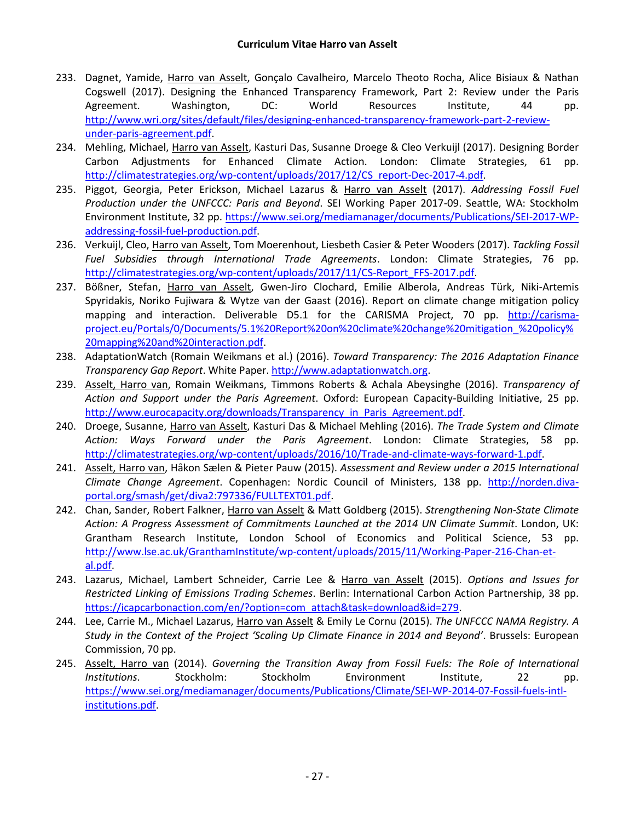- 233. Dagnet, Yamide, Harro van Asselt, Gonçalo Cavalheiro, Marcelo Theoto Rocha, Alice Bisiaux & Nathan Cogswell (2017). Designing the Enhanced Transparency Framework, Part 2: Review under the Paris Agreement. Washington, DC: World Resources Institute, 44 pp. [http://www.wri.org/sites/default/files/designing-enhanced-transparency-framework-part-2-review](http://www.wri.org/sites/default/files/designing-enhanced-transparency-framework-part-2-review-under-paris-agreement.pdf)[under-paris-agreement.pdf.](http://www.wri.org/sites/default/files/designing-enhanced-transparency-framework-part-2-review-under-paris-agreement.pdf)
- 234. Mehling, Michael, Harro van Asselt, Kasturi Das, Susanne Droege & Cleo Verkuijl (2017). Designing Border Carbon Adjustments for Enhanced Climate Action. London: Climate Strategies, 61 pp. [http://climatestrategies.org/wp-content/uploads/2017/12/CS\\_report-Dec-2017-4.pdf.](http://climatestrategies.org/wp-content/uploads/2017/12/CS_report-Dec-2017-4.pdf)
- 235. Piggot, Georgia, Peter Erickson, Michael Lazarus & Harro van Asselt (2017). *Addressing Fossil Fuel Production under the UNFCCC: Paris and Beyond*. SEI Working Paper 2017-09. Seattle, WA: Stockholm Environment Institute, 32 pp. [https://www.sei.org/mediamanager/documents/Publications/SEI-2017-WP](https://www.sei.org/mediamanager/documents/Publications/SEI-2017-WP-addressing-fossil-fuel-production.pdf)[addressing-fossil-fuel-production.pdf.](https://www.sei.org/mediamanager/documents/Publications/SEI-2017-WP-addressing-fossil-fuel-production.pdf)
- 236. Verkuijl, Cleo, Harro van Asselt, Tom Moerenhout, Liesbeth Casier & Peter Wooders (2017). *Tackling Fossil Fuel Subsidies through International Trade Agreements*. London: Climate Strategies, 76 pp. [http://climatestrategies.org/wp-content/uploads/2017/11/CS-Report\\_FFS-2017.pdf.](http://climatestrategies.org/wp-content/uploads/2017/11/CS-Report_FFS-2017.pdf)
- 237. Bößner, Stefan, Harro van Asselt, Gwen-Jiro Clochard, Emilie Alberola, Andreas Türk, Niki-Artemis Spyridakis, Noriko Fujiwara & Wytze van der Gaast (2016). Report on climate change mitigation policy mapping and interaction. Deliverable D5.1 for the CARISMA Project, 70 pp. [http://carisma](http://carisma-project.eu/Portals/0/Documents/5.1%20Report%20on%20climate%20change%20mitigation_%20policy%20mapping%20and%20interaction.pdf)[project.eu/Portals/0/Documents/5.1%20Report%20on%20climate%20change%20mitigation\\_%20policy%](http://carisma-project.eu/Portals/0/Documents/5.1%20Report%20on%20climate%20change%20mitigation_%20policy%20mapping%20and%20interaction.pdf) [20mapping%20and%20interaction.pdf.](http://carisma-project.eu/Portals/0/Documents/5.1%20Report%20on%20climate%20change%20mitigation_%20policy%20mapping%20and%20interaction.pdf)
- 238. AdaptationWatch (Romain Weikmans et al.) (2016). *Toward Transparency: The 2016 Adaptation Finance Transparency Gap Report*. White Paper. [http://www.adaptationwatch.org.](http://www.adaptationwatch.org/)
- 239. Asselt, Harro van, Romain Weikmans, Timmons Roberts & Achala Abeysinghe (2016). *Transparency of Action and Support under the Paris Agreement*. Oxford: European Capacity-Building Initiative, 25 pp. http://www.eurocapacity.org/downloads/Transparency in Paris Agreement.pdf.
- 240. Droege, Susanne, Harro van Asselt, Kasturi Das & Michael Mehling (2016). *The Trade System and Climate Action: Ways Forward under the Paris Agreement*. London: Climate Strategies, 58 pp. [http://climatestrategies.org/wp-content/uploads/2016/10/Trade-and-climate-ways-forward-1.pdf.](http://climatestrategies.org/wp-content/uploads/2016/10/Trade-and-climate-ways-forward-1.pdf)
- 241. Asselt, Harro van, Håkon Sælen & Pieter Pauw (2015). *Assessment and Review under a 2015 International Climate Change Agreement*. Copenhagen: Nordic Council of Ministers, 138 pp. [http://norden.diva](http://norden.diva-portal.org/smash/get/diva2:797336/FULLTEXT01.pdf)[portal.org/smash/get/diva2:797336/FULLTEXT01.pdf.](http://norden.diva-portal.org/smash/get/diva2:797336/FULLTEXT01.pdf)
- 242. Chan, Sander, Robert Falkner, Harro van Asselt & Matt Goldberg (2015). *Strengthening Non-State Climate Action: A Progress Assessment of Commitments Launched at the 2014 UN Climate Summit*. London, UK: Grantham Research Institute, London School of Economics and Political Science, 53 pp. [http://www.lse.ac.uk/GranthamInstitute/wp-content/uploads/2015/11/Working-Paper-216-Chan-et](http://www.lse.ac.uk/GranthamInstitute/wp-content/uploads/2015/11/Working-Paper-216-Chan-et-al.pdf)[al.pdf.](http://www.lse.ac.uk/GranthamInstitute/wp-content/uploads/2015/11/Working-Paper-216-Chan-et-al.pdf)
- 243. Lazarus, Michael, Lambert Schneider, Carrie Lee & Harro van Asselt (2015). *Options and Issues for Restricted Linking of Emissions Trading Schemes*. Berlin: International Carbon Action Partnership, 38 pp. [https://icapcarbonaction.com/en/?option=com\\_attach&task=download&id=279.](https://icapcarbonaction.com/en/?option=com_attach&task=download&id=279)
- 244. Lee, Carrie M., Michael Lazarus, Harro van Asselt & Emily Le Cornu (2015). *The UNFCCC NAMA Registry. A Study in the Context of the Project 'Scaling Up Climate Finance in 2014 and Beyond'*. Brussels: European Commission, 70 pp.
- 245. Asselt, Harro van (2014). *Governing the Transition Away from Fossil Fuels: The Role of International Institutions*. Stockholm: Stockholm Environment Institute, 22 pp. [https://www.sei.org/mediamanager/documents/Publications/Climate/SEI-WP-2014-07-Fossil-fuels-intl](https://www.sei.org/mediamanager/documents/Publications/Climate/SEI-WP-2014-07-Fossil-fuels-intl-institutions.pdf)[institutions.pdf.](https://www.sei.org/mediamanager/documents/Publications/Climate/SEI-WP-2014-07-Fossil-fuels-intl-institutions.pdf)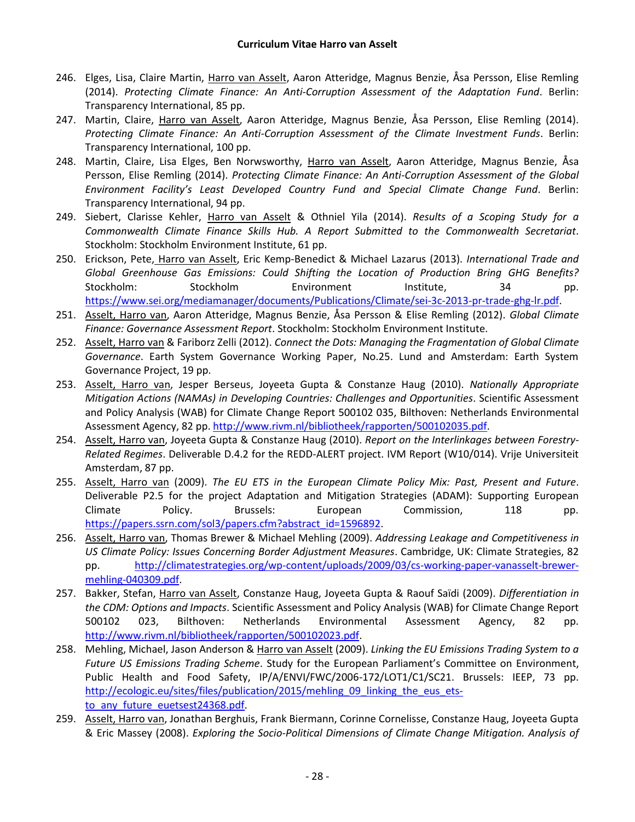- 246. Elges, Lisa, Claire Martin, Harro van Asselt, Aaron Atteridge, Magnus Benzie, Åsa Persson, Elise Remling (2014). *Protecting Climate Finance: An Anti-Corruption Assessment of the Adaptation Fund*. Berlin: Transparency International, 85 pp.
- 247. Martin, Claire, Harro van Asselt, Aaron Atteridge, Magnus Benzie, Åsa Persson, Elise Remling (2014). *Protecting Climate Finance: An Anti-Corruption Assessment of the Climate Investment Funds*. Berlin: Transparency International, 100 pp.
- 248. Martin, Claire, Lisa Elges, Ben Norwsworthy, Harro van Asselt, Aaron Atteridge, Magnus Benzie, Åsa Persson, Elise Remling (2014). *Protecting Climate Finance: An Anti-Corruption Assessment of the Global Environment Facility's Least Developed Country Fund and Special Climate Change Fund*. Berlin: Transparency International, 94 pp.
- 249. Siebert, Clarisse Kehler, Harro van Asselt & Othniel Yila (2014). *Results of a Scoping Study for a Commonwealth Climate Finance Skills Hub. A Report Submitted to the Commonwealth Secretariat*. Stockholm: Stockholm Environment Institute, 61 pp.
- 250. Erickson, Pete, Harro van Asselt, Eric Kemp-Benedict & Michael Lazarus (2013). *International Trade and Global Greenhouse Gas Emissions: Could Shifting the Location of Production Bring GHG Benefits?* Stockholm: Stockholm Environment Institute, 34 pp. [https://www.sei.org/mediamanager/documents/Publications/Climate/sei-3c-2013-pr-trade-ghg-lr.pdf.](https://www.sei.org/mediamanager/documents/Publications/Climate/sei-3c-2013-pr-trade-ghg-lr.pdf)
- 251. Asselt, Harro van, Aaron Atteridge, Magnus Benzie, Åsa Persson & Elise Remling (2012). *Global Climate Finance: Governance Assessment Report*. Stockholm: Stockholm Environment Institute.
- 252. Asselt, Harro van & Fariborz Zelli (2012). *Connect the Dots: Managing the Fragmentation of Global Climate Governance*. Earth System Governance Working Paper, No.25. Lund and Amsterdam: Earth System Governance Project, 19 pp.
- 253. Asselt, Harro van, Jesper Berseus, Joyeeta Gupta & Constanze Haug (2010). *Nationally Appropriate Mitigation Actions (NAMAs) in Developing Countries: Challenges and Opportunities*. Scientific Assessment and Policy Analysis (WAB) for Climate Change Report 500102 035, Bilthoven: Netherlands Environmental Assessment Agency, 82 pp. [http://www.rivm.nl/bibliotheek/rapporten/500102035.pdf.](http://www.rivm.nl/bibliotheek/rapporten/500102035.pdf)
- 254. Asselt, Harro van, Joyeeta Gupta & Constanze Haug (2010). *Report on the Interlinkages between Forestry-Related Regimes*. Deliverable D.4.2 for the REDD-ALERT project. IVM Report (W10/014). Vrije Universiteit Amsterdam, 87 pp.
- 255. Asselt, Harro van (2009). *The EU ETS in the European Climate Policy Mix: Past, Present and Future*. Deliverable P2.5 for the project Adaptation and Mitigation Strategies (ADAM): Supporting European Climate Policy. Brussels: European Commission, 118 pp. [https://papers.ssrn.com/sol3/papers.cfm?abstract\\_id=1596892.](https://papers.ssrn.com/sol3/papers.cfm?abstract_id=1596892)
- 256. Asselt, Harro van, Thomas Brewer & Michael Mehling (2009). *Addressing Leakage and Competitiveness in US Climate Policy: Issues Concerning Border Adjustment Measures*. Cambridge, UK: Climate Strategies, 82 pp. [http://climatestrategies.org/wp-content/uploads/2009/03/cs-working-paper-vanasselt-brewer](http://climatestrategies.org/wp-content/uploads/2009/03/cs-working-paper-vanasselt-brewer-mehling-040309.pdf)[mehling-040309.pdf.](http://climatestrategies.org/wp-content/uploads/2009/03/cs-working-paper-vanasselt-brewer-mehling-040309.pdf)
- 257. Bakker, Stefan, Harro van Asselt, Constanze Haug, Joyeeta Gupta & Raouf Saïdi (2009). *Differentiation in the CDM: Options and Impacts*. Scientific Assessment and Policy Analysis (WAB) for Climate Change Report 500102 023, Bilthoven: Netherlands Environmental Assessment Agency, 82 pp. [http://www.rivm.nl/bibliotheek/rapporten/500102023.pdf.](http://www.rivm.nl/bibliotheek/rapporten/500102023.pdf)
- 258. Mehling, Michael, Jason Anderson & Harro van Asselt (2009). *Linking the EU Emissions Trading System to a Future US Emissions Trading Scheme*. Study for the European Parliament's Committee on Environment, Public Health and Food Safety, IP/A/ENVI/FWC/2006-172/LOT1/C1/SC21. Brussels: IEEP, 73 pp. [http://ecologic.eu/sites/files/publication/2015/mehling\\_09\\_linking\\_the\\_eus\\_ets](http://ecologic.eu/sites/files/publication/2015/mehling_09_linking_the_eus_ets-to_any_future_euetsest24368.pdf)to any future euetsest24368.pdf.
- 259. Asselt, Harro van, Jonathan Berghuis, Frank Biermann, Corinne Cornelisse, Constanze Haug, Joyeeta Gupta & Eric Massey (2008). *Exploring the Socio-Political Dimensions of Climate Change Mitigation. Analysis of*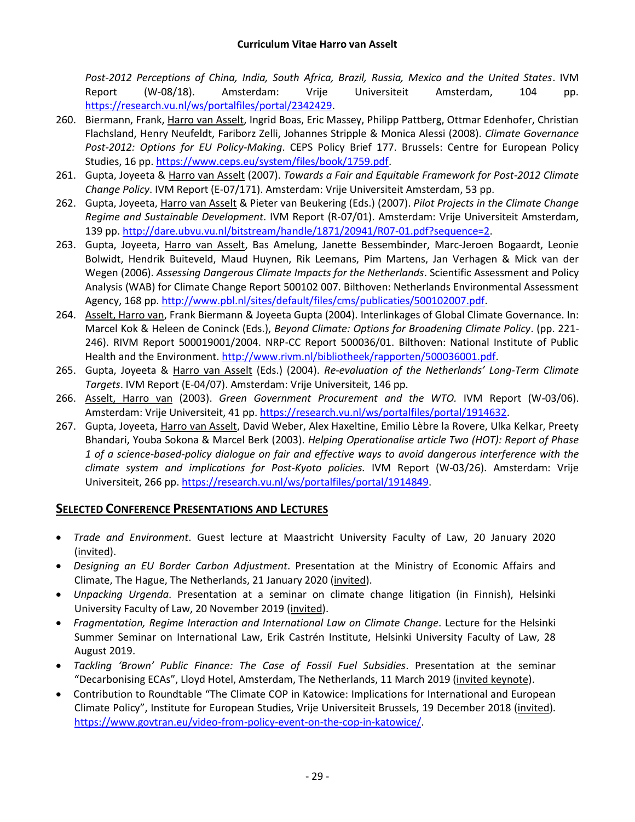*Post-2012 Perceptions of China, India, South Africa, Brazil, Russia, Mexico and the United States*. IVM Report (W-08/18). Amsterdam: Vrije Universiteit Amsterdam, 104 pp. [https://research.vu.nl/ws/portalfiles/portal/2342429.](https://research.vu.nl/ws/portalfiles/portal/2342429)

- 260. Biermann, Frank, Harro van Asselt, Ingrid Boas, Eric Massey, Philipp Pattberg, Ottmar Edenhofer, Christian Flachsland, Henry Neufeldt, Fariborz Zelli, Johannes Stripple & Monica Alessi (2008). *Climate Governance Post-2012: Options for EU Policy-Making*. CEPS Policy Brief 177. Brussels: Centre for European Policy Studies, 16 pp. [https://www.ceps.eu/system/files/book/1759.pdf.](https://www.ceps.eu/system/files/book/1759.pdf)
- 261. Gupta, Joyeeta & Harro van Asselt (2007). *Towards a Fair and Equitable Framework for Post-2012 Climate Change Policy*. IVM Report (E-07/171). Amsterdam: Vrije Universiteit Amsterdam, 53 pp.
- 262. Gupta, Joyeeta, Harro van Asselt & Pieter van Beukering (Eds.) (2007). *Pilot Projects in the Climate Change Regime and Sustainable Development*. IVM Report (R-07/01). Amsterdam: Vrije Universiteit Amsterdam, 139 pp. [http://dare.ubvu.vu.nl/bitstream/handle/1871/20941/R07-01.pdf?sequence=2.](http://dare.ubvu.vu.nl/bitstream/handle/1871/20941/R07-01.pdf?sequence=2)
- 263. Gupta, Joyeeta, Harro van Asselt, Bas Amelung, Janette Bessembinder, Marc-Jeroen Bogaardt, Leonie Bolwidt, Hendrik Buiteveld, Maud Huynen, Rik Leemans, Pim Martens, Jan Verhagen & Mick van der Wegen (2006). *Assessing Dangerous Climate Impacts for the Netherlands*. Scientific Assessment and Policy Analysis (WAB) for Climate Change Report 500102 007. Bilthoven: Netherlands Environmental Assessment Agency, 168 pp. [http://www.pbl.nl/sites/default/files/cms/publicaties/500102007.pdf.](http://www.pbl.nl/sites/default/files/cms/publicaties/500102007.pdf)
- 264. Asselt, Harro van, Frank Biermann & Joyeeta Gupta (2004). Interlinkages of Global Climate Governance. In: Marcel Kok & Heleen de Coninck (Eds.), *Beyond Climate: Options for Broadening Climate Policy*. (pp. 221- 246). RIVM Report 500019001/2004. NRP-CC Report 500036/01. Bilthoven: National Institute of Public Health and the Environment. [http://www.rivm.nl/bibliotheek/rapporten/500036001.pdf.](http://www.rivm.nl/bibliotheek/rapporten/500036001.pdf)
- 265. Gupta, Joyeeta & Harro van Asselt (Eds.) (2004). *Re-evaluation of the Netherlands' Long-Term Climate Targets*. IVM Report (E-04/07). Amsterdam: Vrije Universiteit, 146 pp.
- 266. Asselt, Harro van (2003). *Green Government Procurement and the WTO.* IVM Report (W-03/06). Amsterdam: Vrije Universiteit, 41 pp. [https://research.vu.nl/ws/portalfiles/portal/1914632.](https://research.vu.nl/ws/portalfiles/portal/1914632)
- 267. Gupta, Joyeeta, Harro van Asselt, David Weber, Alex Haxeltine, Emilio Lèbre la Rovere, Ulka Kelkar, Preety Bhandari, Youba Sokona & Marcel Berk (2003). *Helping Operationalise article Two (HOT): Report of Phase 1 of a science-based-policy dialogue on fair and effective ways to avoid dangerous interference with the climate system and implications for Post-Kyoto policies.* IVM Report (W-03/26). Amsterdam: Vrije Universiteit, 266 pp. [https://research.vu.nl/ws/portalfiles/portal/1914849.](https://research.vu.nl/ws/portalfiles/portal/1914849)

# **SELECTED CONFERENCE PRESENTATIONS AND LECTURES**

- *Trade and Environment*. Guest lecture at Maastricht University Faculty of Law, 20 January 2020 (invited).
- *Designing an EU Border Carbon Adjustment*. Presentation at the Ministry of Economic Affairs and Climate, The Hague, The Netherlands, 21 January 2020 (invited).
- *Unpacking Urgenda*. Presentation at a seminar on climate change litigation (in Finnish), Helsinki University Faculty of Law, 20 November 2019 (invited).
- *Fragmentation, Regime Interaction and International Law on Climate Change*. Lecture for the Helsinki Summer Seminar on International Law, Erik Castrén Institute, Helsinki University Faculty of Law, 28 August 2019.
- *Tackling 'Brown' Public Finance: The Case of Fossil Fuel Subsidies*. Presentation at the seminar "Decarbonising ECAs", Lloyd Hotel, Amsterdam, The Netherlands, 11 March 2019 (invited keynote).
- Contribution to Roundtable "The Climate COP in Katowice: Implications for International and European Climate Policy", Institute for European Studies, Vrije Universiteit Brussels, 19 December 2018 (invited). [https://www.govtran.eu/video-from-policy-event-on-the-cop-in-katowice/.](https://www.govtran.eu/video-from-policy-event-on-the-cop-in-katowice/)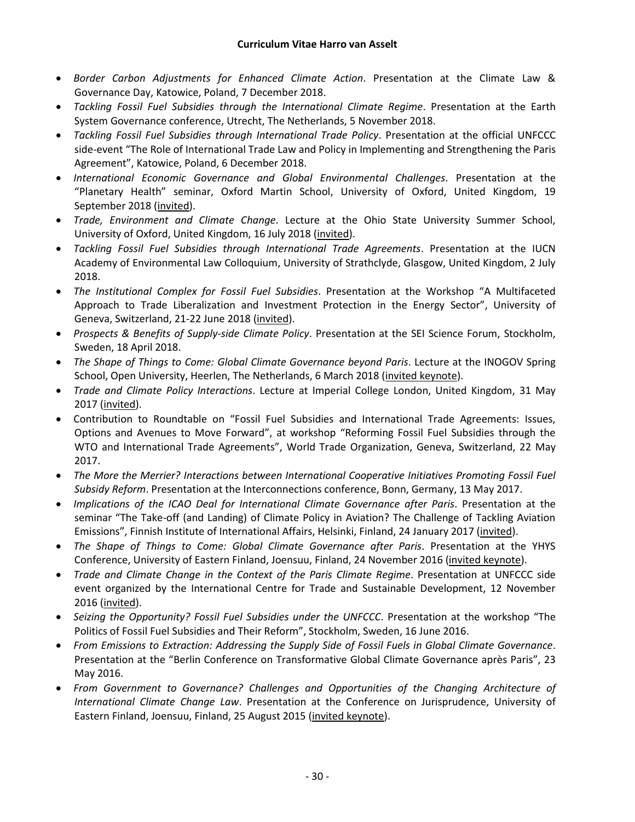- *Border Carbon Adjustments for Enhanced Climate Action*. Presentation at the Climate Law & Governance Day, Katowice, Poland, 7 December 2018.
- *Tackling Fossil Fuel Subsidies through the International Climate Regime*. Presentation at the Earth System Governance conference, Utrecht, The Netherlands, 5 November 2018.
- *Tackling Fossil Fuel Subsidies through International Trade Policy*. Presentation at the official UNFCCC side-event "The Role of International Trade Law and Policy in Implementing and Strengthening the Paris Agreement", Katowice, Poland, 6 December 2018.
- *International Economic Governance and Global Environmental Challenges*. Presentation at the "Planetary Health" seminar, Oxford Martin School, University of Oxford, United Kingdom, 19 September 2018 (invited).
- *Trade, Environment and Climate Change*. Lecture at the Ohio State University Summer School, University of Oxford, United Kingdom, 16 July 2018 (invited).
- *Tackling Fossil Fuel Subsidies through International Trade Agreements*. Presentation at the IUCN Academy of Environmental Law Colloquium, University of Strathclyde, Glasgow, United Kingdom, 2 July 2018.
- *The Institutional Complex for Fossil Fuel Subsidies*. Presentation at the Workshop "A Multifaceted Approach to Trade Liberalization and Investment Protection in the Energy Sector", University of Geneva, Switzerland, 21-22 June 2018 (invited).
- *Prospects & Benefits of Supply-side Climate Policy*. Presentation at the SEI Science Forum, Stockholm, Sweden, 18 April 2018.
- *The Shape of Things to Come: Global Climate Governance beyond Paris*. Lecture at the INOGOV Spring School, Open University, Heerlen, The Netherlands, 6 March 2018 (invited keynote).
- *Trade and Climate Policy Interactions*. Lecture at Imperial College London, United Kingdom, 31 May 2017 (invited).
- Contribution to Roundtable on "Fossil Fuel Subsidies and International Trade Agreements: Issues, Options and Avenues to Move Forward", at workshop "Reforming Fossil Fuel Subsidies through the WTO and International Trade Agreements", World Trade Organization, Geneva, Switzerland, 22 May 2017.
- *The More the Merrier? Interactions between International Cooperative Initiatives Promoting Fossil Fuel Subsidy Reform*. Presentation at the Interconnections conference, Bonn, Germany, 13 May 2017.
- *Implications of the ICAO Deal for International Climate Governance after Paris*. Presentation at the seminar "The Take-off (and Landing) of Climate Policy in Aviation? The Challenge of Tackling Aviation Emissions", Finnish Institute of International Affairs, Helsinki, Finland, 24 January 2017 (invited).
- *The Shape of Things to Come: Global Climate Governance after Paris*. Presentation at the YHYS Conference, University of Eastern Finland, Joensuu, Finland, 24 November 2016 (invited keynote).
- *Trade and Climate Change in the Context of the Paris Climate Regime*. Presentation at UNFCCC side event organized by the International Centre for Trade and Sustainable Development, 12 November 2016 (invited).
- *Seizing the Opportunity? Fossil Fuel Subsidies under the UNFCCC*. Presentation at the workshop "The Politics of Fossil Fuel Subsidies and Their Reform", Stockholm, Sweden, 16 June 2016.
- *From Emissions to Extraction: Addressing the Supply Side of Fossil Fuels in Global Climate Governance*. Presentation at the "Berlin Conference on Transformative Global Climate Governance après Paris", 23 May 2016.
- *From Government to Governance? Challenges and Opportunities of the Changing Architecture of International Climate Change Law*. Presentation at the Conference on Jurisprudence, University of Eastern Finland, Joensuu, Finland, 25 August 2015 (invited keynote).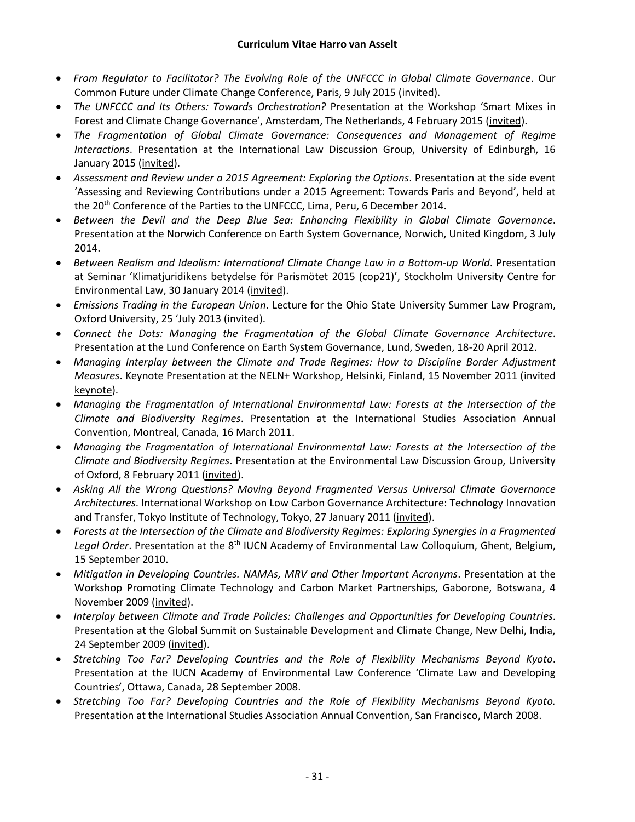- *From Regulator to Facilitator? The Evolving Role of the UNFCCC in Global Climate Governance*. Our Common Future under Climate Change Conference, Paris, 9 July 2015 (invited).
- *The UNFCCC and Its Others: Towards Orchestration?* Presentation at the Workshop 'Smart Mixes in Forest and Climate Change Governance', Amsterdam, The Netherlands, 4 February 2015 (invited).
- *The Fragmentation of Global Climate Governance: Consequences and Management of Regime Interactions*. Presentation at the International Law Discussion Group, University of Edinburgh, 16 January 2015 (invited).
- *Assessment and Review under a 2015 Agreement: Exploring the Options*. Presentation at the side event 'Assessing and Reviewing Contributions under a 2015 Agreement: Towards Paris and Beyond', held at the 20<sup>th</sup> Conference of the Parties to the UNFCCC, Lima, Peru, 6 December 2014.
- *Between the Devil and the Deep Blue Sea: Enhancing Flexibility in Global Climate Governance*. Presentation at the Norwich Conference on Earth System Governance, Norwich, United Kingdom, 3 July 2014.
- *Between Realism and Idealism: International Climate Change Law in a Bottom-up World*. Presentation at Seminar 'Klimatjuridikens betydelse för Parismötet 2015 (cop21)', Stockholm University Centre for Environmental Law, 30 January 2014 (invited).
- *Emissions Trading in the European Union*. Lecture for the Ohio State University Summer Law Program, Oxford University, 25 'July 2013 (invited).
- *Connect the Dots: Managing the Fragmentation of the Global Climate Governance Architecture*. Presentation at the Lund Conference on Earth System Governance, Lund, Sweden, 18-20 April 2012.
- *Managing Interplay between the Climate and Trade Regimes: How to Discipline Border Adjustment Measures*. Keynote Presentation at the NELN+ Workshop, Helsinki, Finland, 15 November 2011 (invited keynote).
- *Managing the Fragmentation of International Environmental Law: Forests at the Intersection of the Climate and Biodiversity Regimes*. Presentation at the International Studies Association Annual Convention, Montreal, Canada, 16 March 2011.
- *Managing the Fragmentation of International Environmental Law: Forests at the Intersection of the Climate and Biodiversity Regimes*. Presentation at the Environmental Law Discussion Group, University of Oxford, 8 February 2011 (invited).
- *Asking All the Wrong Questions? Moving Beyond Fragmented Versus Universal Climate Governance Architectures*. International Workshop on Low Carbon Governance Architecture: Technology Innovation and Transfer, Tokyo Institute of Technology, Tokyo, 27 January 2011 (invited).
- *Forests at the Intersection of the Climate and Biodiversity Regimes: Exploring Synergies in a Fragmented*  Legal Order. Presentation at the 8<sup>th</sup> IUCN Academy of Environmental Law Colloquium, Ghent, Belgium, 15 September 2010.
- *Mitigation in Developing Countries. NAMAs, MRV and Other Important Acronyms*. Presentation at the Workshop Promoting Climate Technology and Carbon Market Partnerships, Gaborone, Botswana, 4 November 2009 (invited).
- *Interplay between Climate and Trade Policies: Challenges and Opportunities for Developing Countries*. Presentation at the Global Summit on Sustainable Development and Climate Change, New Delhi, India, 24 September 2009 (invited).
- *Stretching Too Far? Developing Countries and the Role of Flexibility Mechanisms Beyond Kyoto*. Presentation at the IUCN Academy of Environmental Law Conference 'Climate Law and Developing Countries', Ottawa, Canada, 28 September 2008.
- *Stretching Too Far? Developing Countries and the Role of Flexibility Mechanisms Beyond Kyoto.* Presentation at the International Studies Association Annual Convention, San Francisco, March 2008.